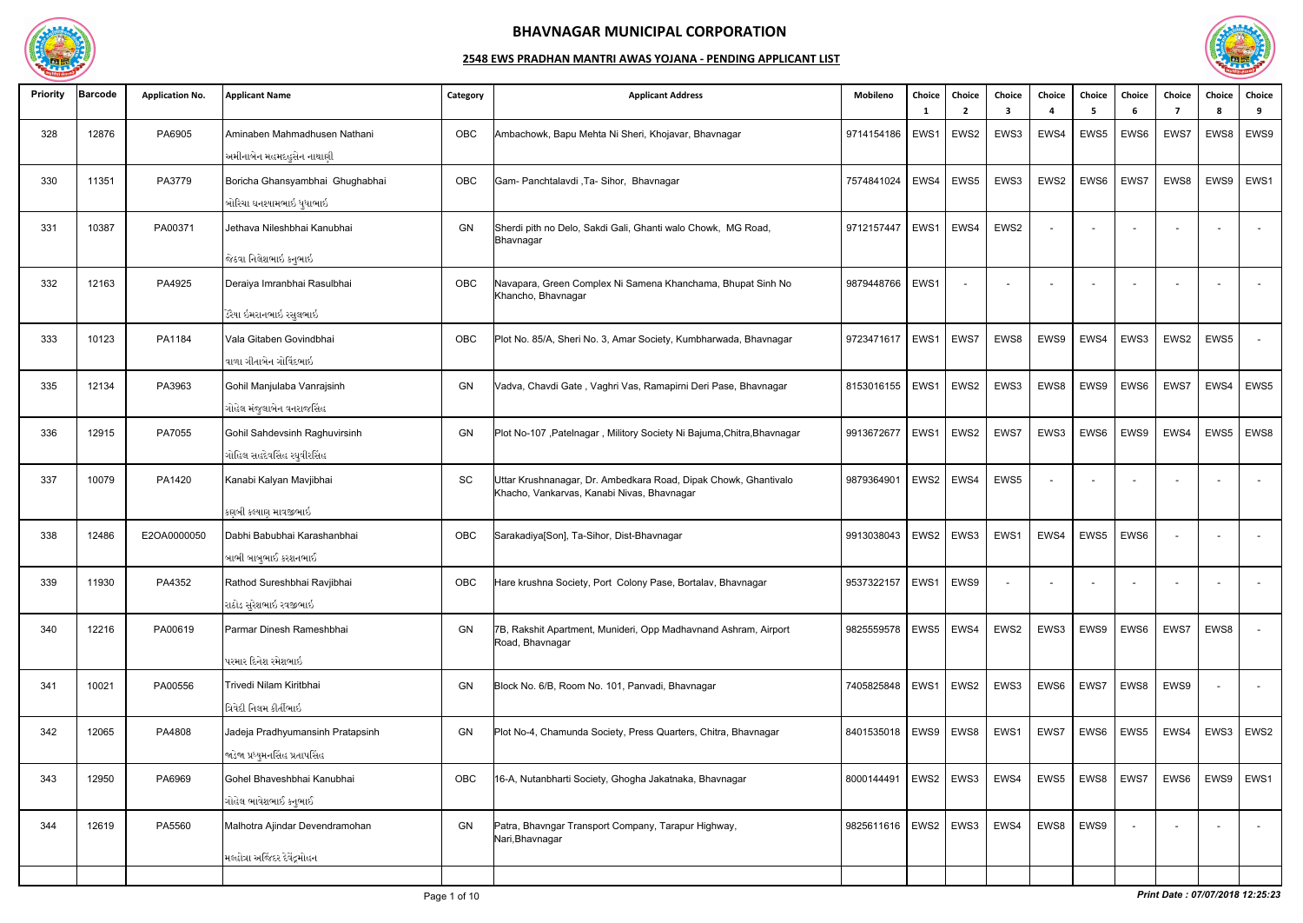

| <b>Priority</b> | <b>Barcode</b> | <b>Application No.</b> | <b>Applicant Name</b>                                               | Category | <b>Applicant Address</b>                                                                                      | Mobileno                 | Choice<br>- 1 | Choice<br>2 | Choice<br>3 | Choice                   | Choice<br>-5             | Choice<br>-6     | Choice<br>-7 | Choice<br>-8 | Choice<br>9              |
|-----------------|----------------|------------------------|---------------------------------------------------------------------|----------|---------------------------------------------------------------------------------------------------------------|--------------------------|---------------|-------------|-------------|--------------------------|--------------------------|------------------|--------------|--------------|--------------------------|
| 328             | 12876          | PA6905                 | Aminaben Mahmadhusen Nathani<br>અમીનાબેન મહમદહુસેન નાથાણી           | OBC      | Ambachowk, Bapu Mehta Ni Sheri, Khojavar, Bhavnagar                                                           | 9714154186               | EWS1          | EWS2        | EWS3        | EWS4                     | EWS5                     | EWS6             | EWS7         | EWS8         | EWS9                     |
| 330             | 11351          | PA3779                 | Boricha Ghansyambhai Ghughabhai<br>બોરિચા ઘનશ્યામભાઇ ધુધાભાઇ        | OBC      | Gam- Panchtalavdi, Ta- Sihor, Bhavnagar                                                                       | 7574841024               | EWS4          | EWS5        | EWS3        | EWS2                     | EWS6                     | EWS7             | EWS8         | EWS9         | EWS1                     |
| 331             | 10387          | PA00371                | Jethava Nileshbhai Kanubhai                                         | GN       | Sherdi pith no Delo, Sakdi Gali, Ghanti walo Chowk, MG Road,<br>Bhavnagar                                     | 9712157447               | EWS1          | EWS4        | EWS2        | $\overline{a}$           |                          |                  |              |              | $\overline{\phantom{a}}$ |
|                 |                |                        | જેઠવા નિલેશભાઇ કનુભાઇ                                               |          |                                                                                                               |                          |               |             |             |                          |                          |                  |              |              |                          |
| 332             | 12163          | PA4925                 | Deraiya Imranbhai Rasulbhai                                         | OBC      | Navapara, Green Complex Ni Samena Khanchama, Bhupat Sinh No<br>Khancho, Bhavnagar                             | 9879448766               | EWS1          |             |             | $\overline{\phantom{a}}$ | $\overline{a}$           |                  |              |              | $\sim$                   |
|                 |                |                        | ડેરૈયા ઇમરાનભાઇ રસુલભાઇ                                             |          |                                                                                                               |                          |               |             |             |                          |                          |                  |              |              |                          |
| 333             | 10123          | PA1184                 | Vala Gitaben Govindbhai<br>વાળા ગીતાબેન ગોવિંદભાઇ                   | OBC      | Plot No. 85/A, Sheri No. 3, Amar Society, Kumbharwada, Bhavnagar                                              | 9723471617               | EWS1          | EWS7        | EWS8        | EWS9                     | EWS4                     | EWS3             | EWS2         | EWS5         | $\sim$                   |
| 335             | 12134          | PA3963                 | Gohil Manjulaba Vanrajsinh<br>ગોહેલ મંજુલાબેન વનરાજસિંહ             | GN       | Vadva, Chavdi Gate, Vaghri Vas, Ramapirni Deri Pase, Bhavnagar                                                | 8153016155               | EWS1          | EWS2        | EWS3        | EWS8                     | EWS9                     | EWS6             | EWS7         | EWS4         | EWS5                     |
| 336             | 12915          | PA7055                 | Gohil Sahdevsinh Raghuvirsinh<br>ગોહિલ સહદેવસિંહ રઘુવીરસિંહ         | GN       | Plot No-107, Patelnagar, Militory Society Ni Bajuma, Chitra, Bhavnagar                                        | 9913672677               | EWS1          | EWS2        | EWS7        | EWS3                     | EWS6                     | EWS9             | EWS4         | EWS5         | EWS8                     |
| 337             | 10079          | PA1420                 | Kanabi Kalyan Mavjibhai                                             | SC       | Jttar Krushnanagar, Dr. Ambedkara Road, Dipak Chowk, Ghantivalo<br>Khacho, Vankarvas, Kanabi Nivas, Bhavnagar | 9879364901               | EWS2          | EWS4        | EWS5        | $\blacksquare$           | $\overline{\phantom{0}}$ |                  |              |              | $\sim$                   |
|                 |                |                        | કણબી કલ્યાણ માવજીભાઇ                                                |          |                                                                                                               |                          |               |             |             |                          |                          |                  |              |              |                          |
| 338             | 12486          | E2OA0000050            | Dabhi Babubhai Karashanbhai<br>બાભી બાબુભાઈ કરશનભાઈ                 | OBC      | Sarakadiya[Son], Ta-Sihor, Dist-Bhavnagar                                                                     | 9913038043               | EWS2          | EWS3        | EWS1        | EWS4                     | EWS5                     | EWS6             |              |              |                          |
| 339             | 11930          | PA4352                 | Rathod Sureshbhai Ravjibhai<br>રાઠોડ સુરેશભાઇ રવજીભાઇ               | OBC      | Hare krushna Society, Port Colony Pase, Bortalav, Bhavnagar                                                   | 9537322157   EWS1   EWS9 |               |             |             |                          |                          |                  |              |              |                          |
| 340             | 12216          | PA00619                | Parmar Dinesh Rameshbhai                                            | GN       | 7B, Rakshit Apartment, Munideri, Opp Madhavnand Ashram, Airport<br>Road, Bhavnagar                            | 9825559578               | EWS5   EWS4   |             | EWS2        | EWS3                     | EWS9                     | EWS <sub>6</sub> | EWS7         | EWS8         | $\sim$                   |
|                 |                |                        | પરમાર દિનેશ રમેશભાઇ                                                 |          |                                                                                                               |                          |               |             |             |                          |                          |                  |              |              |                          |
| 341             | 10021          | PA00556                | Trivedi Nilam Kiritbhai<br>ત્રિવેદી નિલમ કીર્તીભાઇ                  | GN       | Block No. 6/B, Room No. 101, Panvadi, Bhavnagar                                                               | 7405825848               | EWS1          | EWS2        | EWS3        | EWS6                     | EWS7                     | EWS8             | EWS9         |              | $\sim$                   |
| 342             | 12065          | PA4808                 | Jadeja Pradhyumansinh Pratapsinh<br>જાડેજા પ્રધ્યુમનસિંહ પ્રતાપસિંહ | GN       | Plot No-4, Chamunda Society, Press Quarters, Chitra, Bhavnagar                                                | 8401535018               |               | EWS9   EWS8 | EWS1        | EWS7                     | EWS6                     | EWS5             | EWS4         | EWS3         | EWS <sub>2</sub>         |
| 343             | 12950          | PA6969                 | Gohel Bhaveshbhai Kanubhai<br>ગોહેલ ભાવેશભાઈ કનુભાઈ                 | OBC      | 16-A, Nutanbharti Society, Ghogha Jakatnaka, Bhavnagar                                                        | 8000144491               |               | EWS2   EWS3 | EWS4        | EWS5                     | EWS8                     | EWS7             | EWS6         | EWS9         | EWS1                     |
| 344             | 12619          | PA5560                 | Malhotra Ajindar Devendramohan                                      | GN       | Patra, Bhavngar Transport Company, Tarapur Highway,<br>Nari, Bhavnagar                                        | 9825611616               |               | EWS2   EWS3 | EWS4        | EWS8                     | EWS9                     |                  |              |              | $\sim$                   |
|                 |                |                        | મલ્હોત્રા અજિંદર દેવેંદ્રમોહન                                       |          |                                                                                                               |                          |               |             |             |                          |                          |                  |              |              |                          |
|                 |                |                        |                                                                     |          |                                                                                                               |                          |               |             |             |                          |                          |                  |              |              |                          |

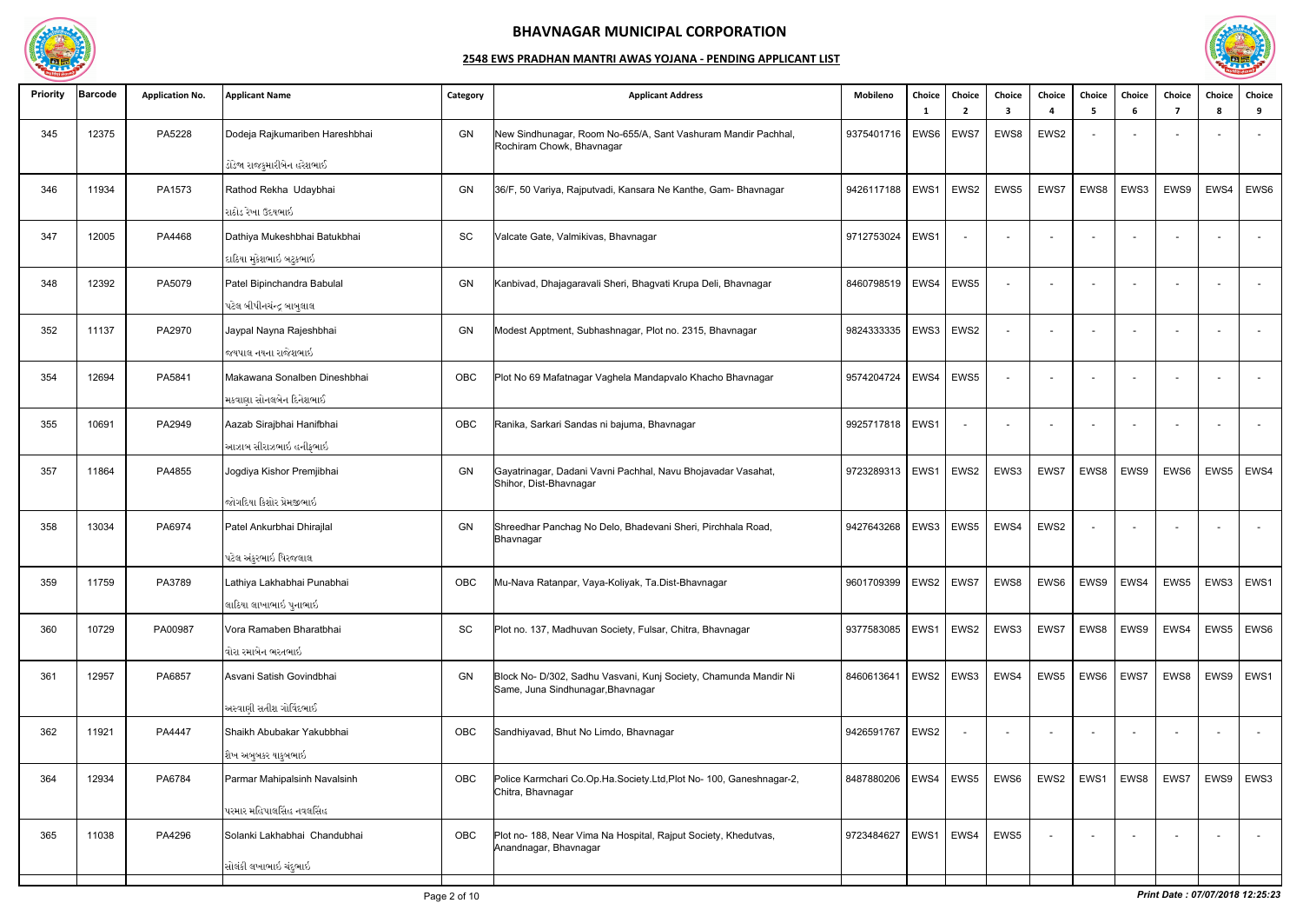

| <b>Priority</b> | <b>Barcode</b> | <b>Application No.</b> | <b>Applicant Name</b>          | Category | <b>Applicant Address</b>                                                                   | Mobileno                 | Choice<br>-1 | Choice<br>$\overline{2}$ | Choice<br>3              | Choice<br>$\mathbf{A}$   | Choice<br>-5             | Choice<br>-6             | Choice<br>7 | Choice<br>-8 | Choice<br>9              |
|-----------------|----------------|------------------------|--------------------------------|----------|--------------------------------------------------------------------------------------------|--------------------------|--------------|--------------------------|--------------------------|--------------------------|--------------------------|--------------------------|-------------|--------------|--------------------------|
| 345             | 12375          | PA5228                 | Dodeja Rajkumariben Hareshbhai | GN       | New Sindhunagar, Room No-655/A, Sant Vashuram Mandir Pachhal,<br>Rochiram Chowk, Bhavnagar | 9375401716               | EWS6         | EWS7                     | EWS8                     | EWS2                     |                          |                          |             |              | $\sim$                   |
|                 |                |                        | ડોડેજા રાજકુમારીબેન હરેશભાઈ    |          |                                                                                            |                          |              |                          |                          |                          |                          |                          |             |              |                          |
| 346             | 11934          | PA1573                 | Rathod Rekha Udaybhai          | GN       | 36/F, 50 Variya, Rajputvadi, Kansara Ne Kanthe, Gam- Bhavnagar                             | 9426117188               | EWS1         | EWS2                     | EWS5                     | EWS7                     | EWS8                     | EWS3                     | EWS9        | EWS4         | EWS6                     |
|                 |                |                        | રાઠોડ રેખા ઉદયભાઇ              |          |                                                                                            |                          |              |                          |                          |                          |                          |                          |             |              |                          |
| 347             | 12005          | PA4468                 | Dathiya Mukeshbhai Batukbhai   | SC       | Valcate Gate, Valmikivas, Bhavnagar                                                        | 9712753024               | EWS1         |                          | $\overline{\phantom{a}}$ | $\overline{\phantom{a}}$ | $\overline{a}$           |                          |             |              | $\sim$                   |
|                 |                |                        | દાઠિયા મુકેશભાઇ બટુકભાઇ        |          |                                                                                            |                          |              |                          |                          |                          |                          |                          |             |              |                          |
| 348             | 12392          | PA5079                 | Patel Bipinchandra Babulal     | GN       | Kanbivad, Dhajagaravali Sheri, Bhagvati Krupa Deli, Bhavnagar                              | 8460798519               | EWS4         | EWS5                     |                          | $\overline{\phantom{a}}$ | $\overline{a}$           |                          |             |              | $\sim$                   |
|                 |                |                        | પટેલ બીપીનચંન્દ્ર બાબુલાલ      |          |                                                                                            |                          |              |                          |                          |                          |                          |                          |             |              |                          |
| 352             | 11137          | PA2970                 | Jaypal Nayna Rajeshbhai        | GN       | Modest Apptment, Subhashnagar, Plot no. 2315, Bhavnagar                                    | 9824333335               | EWS3         | EWS2                     |                          | $\overline{\phantom{a}}$ | $\sim$                   | $\overline{\phantom{0}}$ |             |              | $\overline{a}$           |
|                 |                |                        | જયપાલ નયના રાજેશભાઇ            |          |                                                                                            |                          |              |                          |                          |                          |                          |                          |             |              |                          |
| 354             | 12694          | PA5841                 | Makawana Sonalben Dineshbhai   | OBC      | Plot No 69 Mafatnagar Vaghela Mandapvalo Khacho Bhavnagar                                  | 9574204724               | EWS4         | EWS5                     |                          | $\overline{\phantom{a}}$ | $\overline{\phantom{a}}$ |                          |             |              | $\sim$                   |
|                 |                |                        | મકવાણા સોનલબેન દિનેશભાઈ        |          |                                                                                            |                          |              |                          |                          |                          |                          |                          |             |              |                          |
| 355             | 10691          | PA2949                 | Aazab Sirajbhai Hanifbhai      | OBC      | Ranika, Sarkari Sandas ni bajuma, Bhavnagar                                                | 9925717818   EWS1        |              |                          | $\overline{\phantom{0}}$ | $\overline{\phantom{a}}$ |                          |                          |             |              | $\overline{\phantom{a}}$ |
|                 |                |                        | આઝાબ સીરાઝભાઇ હનીફભાઇ          |          |                                                                                            |                          |              |                          |                          |                          |                          |                          |             |              |                          |
| 357             | 11864          | PA4855                 | Jogdiya Kishor Premjibhai      | GN       | Gayatrinagar, Dadani Vavni Pachhal, Navu Bhojavadar Vasahat,                               | 9723289313               | EWS1         | EWS2                     | EWS3                     | EWS7                     | EWS8                     | EWS9                     | EWS6        | EWS5         | EWS4                     |
|                 |                |                        |                                |          | Shihor, Dist-Bhavnagar                                                                     |                          |              |                          |                          |                          |                          |                          |             |              |                          |
|                 |                |                        | જોગદિયા કિશોર પ્રેમજીભાઇ_      |          |                                                                                            |                          |              |                          |                          |                          |                          |                          |             |              |                          |
| 358             | 13034          | PA6974                 | Patel Ankurbhai Dhirajlal      | GN       | Shreedhar Panchag No Delo, Bhadevani Sheri, Pirchhala Road,<br>Bhavnagar                   | 9427643268               | EWS3         | EWS5                     | EWS4                     | EWS2                     |                          |                          |             |              | $\sim$                   |
|                 |                |                        | પટેલ અંકુરભાઇ ધિરજલાલ          |          |                                                                                            |                          |              |                          |                          |                          |                          |                          |             |              |                          |
| 359             | 11759          | PA3789                 | Lathiya Lakhabhai Punabhai     | OBC      | Mu-Nava Ratanpar, Vaya-Koliyak, Ta.Dist-Bhavnagar                                          | 9601709399   EWS2   EWS7 |              |                          | EWS8                     | EWS6                     |                          | EWS9   EWS4              |             |              | EWS5   EWS3   EWS1       |
|                 |                |                        | લાઠિયા લાખાભાઇ પુનાભાઇ         |          |                                                                                            |                          |              |                          |                          |                          |                          |                          |             |              |                          |
| 360             | 10729          | PA00987                | Vora Ramaben Bharatbhai        | SC       | Plot no. 137, Madhuvan Society, Fulsar, Chitra, Bhavnagar                                  | 9377583085               | EWS1   EWS2  |                          | EWS3                     | EWS7                     | EWS8                     | EWS9                     | EWS4        | EWS5         | EWS6                     |
|                 |                |                        | વોરા રમાબેન ભરતભાઇ             |          |                                                                                            |                          |              |                          |                          |                          |                          |                          |             |              |                          |
| 361             | 12957          | PA6857                 | Asvani Satish Govindbhai       | GN       | Block No- D/302, Sadhu Vasvani, Kunj Society, Chamunda Mandir Ni                           | 8460613641               |              | EWS2   EWS3              | EWS4                     | EWS5                     | EWS6                     | EWS7                     | EWS8        | EWS9         | EWS1                     |
|                 |                |                        |                                |          | Same, Juna Sindhunagar, Bhavnagar                                                          |                          |              |                          |                          |                          |                          |                          |             |              |                          |
|                 |                |                        | અસ્વાણી સતીશ ગોવિંદભાઈ         |          |                                                                                            |                          |              |                          |                          |                          |                          |                          |             |              |                          |
| 362             | 11921          | PA4447                 | Shaikh Abubakar Yakubbhai      | OBC      | Sandhiyavad, Bhut No Limdo, Bhavnagar                                                      | 9426591767               | EWS2         |                          | $\sim$                   | $\sim$                   |                          |                          |             |              | $\sim$                   |
|                 |                |                        | શૈખ અબુબકર યાકુબભાઇ            |          |                                                                                            |                          |              |                          |                          |                          |                          |                          |             |              |                          |
| 364             | 12934          | PA6784                 | Parmar Mahipalsinh Navalsinh   | OBC      | Police Karmchari Co.Op.Ha.Society.Ltd,Plot No- 100, Ganeshnagar-2,<br>Chitra, Bhavnagar    | 8487880206               |              | EWS4 EWS5                | EWS6                     | EWS2                     | EWS1                     | EWS8                     | EWS7        | EWS9         | EWS3                     |
|                 |                |                        | પરમાર મહિપાલસિંહ નવલસિંહ       |          |                                                                                            |                          |              |                          |                          |                          |                          |                          |             |              |                          |
| 365             | 11038          | PA4296                 | Solanki Lakhabhai Chandubhai   | OBC      | Plot no- 188, Near Vima Na Hospital, Rajput Society, Khedutvas,<br>Anandnagar, Bhavnagar   | 9723484627               |              | EWS1   EWS4              | EWS5                     | $\overline{\phantom{a}}$ |                          |                          |             |              | $\sim$                   |
|                 |                |                        | સોલંકી લખાભાઇ ચંદુભાઇ          |          |                                                                                            |                          |              |                          |                          |                          |                          |                          |             |              |                          |
|                 |                |                        |                                |          |                                                                                            |                          |              |                          |                          |                          |                          |                          |             |              |                          |

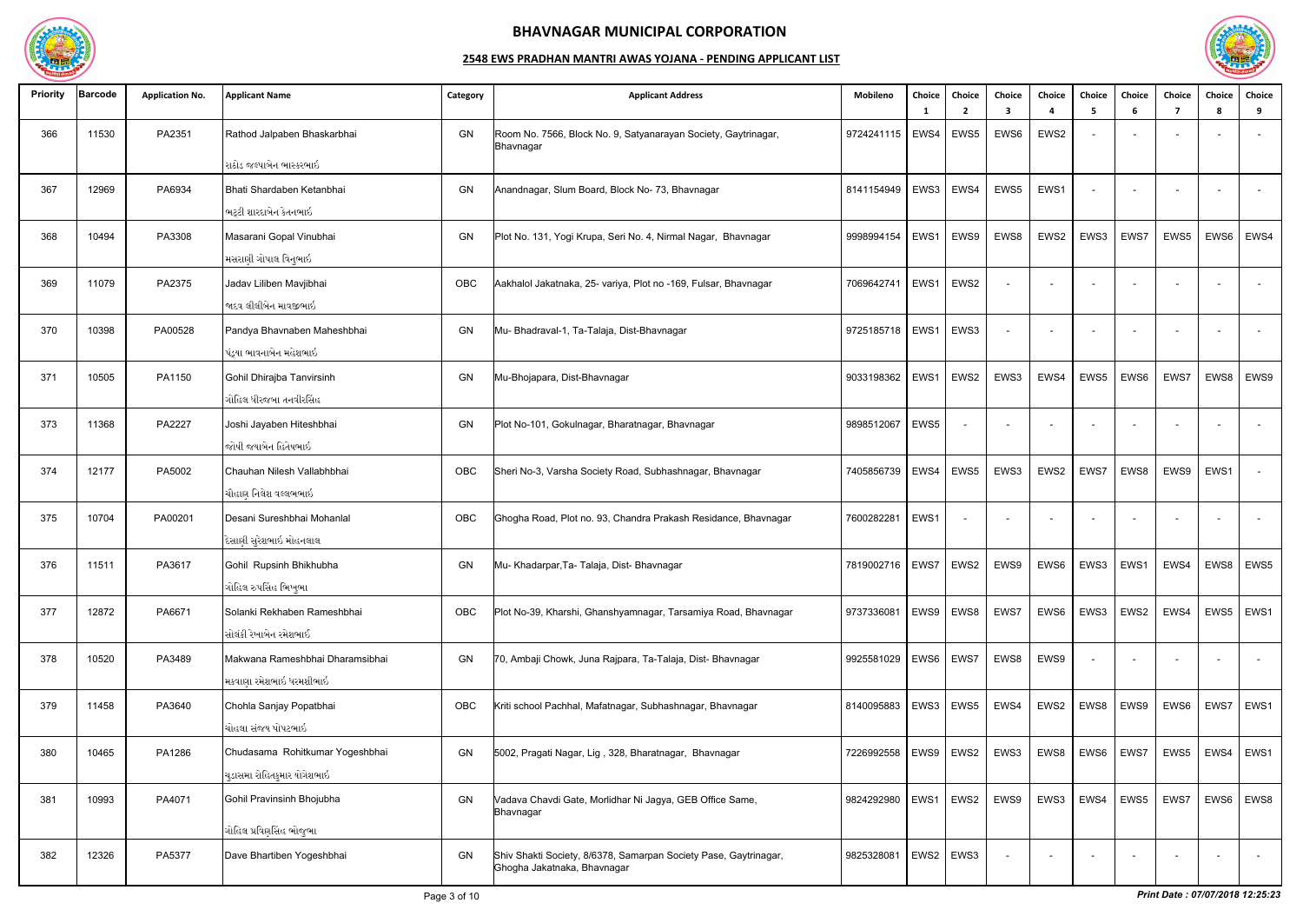

| <b>Priority</b> | <b>Barcode</b> | <b>Application No.</b> | <b>Applicant Name</b>           | Category | <b>Applicant Address</b>                                                                        | Mobileno                 | Choice<br>- 1 | Choice<br>$\overline{2}$ | Choice<br>3 | Choice<br>4              | <b>Choice</b><br>-5      | Choice<br>-6 | Choice<br>7 | <b>Choice</b><br>8 | Choice<br>9              |
|-----------------|----------------|------------------------|---------------------------------|----------|-------------------------------------------------------------------------------------------------|--------------------------|---------------|--------------------------|-------------|--------------------------|--------------------------|--------------|-------------|--------------------|--------------------------|
| 366             | 11530          | PA2351                 | Rathod Jalpaben Bhaskarbhai     | GN       | Room No. 7566, Block No. 9, Satyanarayan Society, Gaytrinagar,<br>Bhavnagar                     | 9724241115   EWS4        |               | EWS5                     | EWS6        | EWS2                     |                          |              |             |                    |                          |
|                 |                |                        | રાઠોડ જલ્પાબેન ભાસ્કરભાઇ        |          |                                                                                                 |                          |               |                          |             |                          |                          |              |             |                    |                          |
| 367             | 12969          | PA6934                 | Bhati Shardaben Ketanbhai       | GN       | Anandnagar, Slum Board, Block No-73, Bhavnagar                                                  | 8141154949               | EWS3          | EWS4                     | EWS5        | EWS1                     | $\overline{\phantom{a}}$ |              |             |                    | $\sim$                   |
|                 |                |                        | ભટ્ટી શારદાબેન કેતનભાઇ          |          |                                                                                                 |                          |               |                          |             |                          |                          |              |             |                    |                          |
| 368             | 10494          | PA3308                 | Masarani Gopal Vinubhai         | GN       | Plot No. 131, Yogi Krupa, Seri No. 4, Nirmal Nagar, Bhavnagar                                   | 9998994154               | EWS1          | EWS9                     | EWS8        | EWS2                     | EWS3                     | EWS7         | EWS5        | EWS6               | EWS4                     |
|                 |                |                        | મસરાણી ગોપાલ વિનુભાઇ            |          |                                                                                                 |                          |               |                          |             |                          |                          |              |             |                    |                          |
| 369             | 11079          | PA2375                 | Jadav Liliben Mavjibhai         | OBC      | Aakhalol Jakatnaka, 25- variya, Plot no -169, Fulsar, Bhavnagar                                 | 7069642741               | EWS1          | EWS2                     |             | $\overline{\phantom{a}}$ |                          |              |             |                    | $\sim$                   |
|                 |                |                        | જાદવ લીલીબેન માવજીભાઇ           |          |                                                                                                 |                          |               |                          |             |                          |                          |              |             |                    |                          |
| 370             | 10398          | PA00528                | Pandya Bhavnaben Maheshbhai     | GN       | Mu- Bhadraval-1, Ta-Talaja, Dist-Bhavnagar                                                      | 9725185718   EWS1        |               | EWS3                     |             |                          | $\sim$                   |              |             |                    | $\overline{\phantom{a}}$ |
|                 |                |                        | પંડ્યા ભાવનાબેન મહેશભાઇ         |          |                                                                                                 |                          |               |                          |             |                          |                          |              |             |                    |                          |
| 371             | 10505          | PA1150                 | Gohil Dhirajba Tanvirsinh       | GN       | Mu-Bhojapara, Dist-Bhavnagar                                                                    | 9033198362               | EWS1          | EWS2                     | EWS3        | EWS4                     | EWS5                     | EWS6         | EWS7        | EWS8               | EWS9                     |
|                 |                |                        | ગોહિલ ધીરજબા તનવીરસિંહ          |          |                                                                                                 |                          |               |                          |             |                          |                          |              |             |                    |                          |
|                 |                |                        |                                 |          |                                                                                                 |                          |               |                          |             |                          |                          |              |             |                    |                          |
| 373             | 11368          | PA2227                 | Joshi Jayaben Hiteshbhai        | GN       | Plot No-101, Gokulnagar, Bharatnagar, Bhavnagar                                                 | 9898512067               | EWS5          |                          |             |                          |                          |              |             |                    | $\sim$                   |
|                 |                |                        | જોષી જયાબેન હિતેષભાઇ            |          |                                                                                                 |                          |               |                          |             |                          |                          |              |             |                    |                          |
| 374             | 12177          | PA5002                 | Chauhan Nilesh Vallabhbhai      | OBC      | Sheri No-3, Varsha Society Road, Subhashnagar, Bhavnagar                                        | 7405856739               | EWS4          | EWS5                     | EWS3        | EWS2                     | EWS7                     | EWS8         | EWS9        | EWS1               | $\sim$                   |
|                 |                |                        | ચૌહાણ નિલેશ વલ્લભભાઇ            |          |                                                                                                 |                          |               |                          |             |                          |                          |              |             |                    |                          |
| 375             | 10704          | PA00201                | Desani Sureshbhai Mohanlal      | OBC      | Ghogha Road, Plot no. 93, Chandra Prakash Residance, Bhavnagar                                  | 7600282281               | EWS1          |                          | $\sim$      | $\overline{\phantom{a}}$ | $\overline{\phantom{0}}$ |              |             |                    | $\sim$                   |
|                 |                |                        | દેસાણી સુરેશભાઇ મોહનલાલ         |          |                                                                                                 |                          |               |                          |             |                          |                          |              |             |                    |                          |
| 376             | 11511          | PA3617                 | Gohil Rupsinh Bhikhubha         | GN       | Mu- Khadarpar, Ta- Talaja, Dist- Bhavnagar                                                      | 7819002716   EWS7   EWS2 |               |                          | EWS9        | EWS6                     | EWS3   EWS1              |              | EWS4        |                    | EWS8   EWS5              |
|                 |                |                        | ગોહિલ રુપસિંહ ભિખુભા            |          |                                                                                                 |                          |               |                          |             |                          |                          |              |             |                    |                          |
|                 |                |                        |                                 |          |                                                                                                 |                          |               |                          |             |                          |                          |              |             |                    |                          |
| 377             | 12872          | PA6671                 | Solanki Rekhaben Rameshbhai     | OBC      | Plot No-39, Kharshi, Ghanshyamnagar, Tarsamiya Road, Bhavnagar                                  | 9737336081               |               | EWS9   EWS8              | EWS7        | EWS6                     | EWS3                     | EWS2         | EWS4        | EWS5               | EWS1                     |
|                 |                |                        | સોલંકી રેખાબેન રમેશભાઈ          |          |                                                                                                 |                          |               |                          |             |                          |                          |              |             |                    |                          |
| 378             | 10520          | PA3489                 | Makwana Rameshbhai Dharamsibhai | GN       | 70, Ambaji Chowk, Juna Rajpara, Ta-Talaja, Dist- Bhavnagar                                      | 9925581029               | EWS6   EWS7   |                          | EWS8        | EWS9                     |                          |              |             |                    | $\sim$                   |
|                 |                |                        | મકવાણા રમેશભાઇ ધરમશીભાઇ         |          |                                                                                                 |                          |               |                          |             |                          |                          |              |             |                    |                          |
| 379             | 11458          | PA3640                 | Chohla Sanjay Popatbhai         | OBC      | Kriti school Pachhal, Mafatnagar, Subhashnagar, Bhavnagar                                       | 8140095883               |               | EWS3 EWS5                | EWS4        | EWS2                     |                          | EWS8 EWS9    | EWS6        | EWS7               | EWS1                     |
|                 |                |                        | ચોહલા સંજય પોપટભાઇ              |          |                                                                                                 |                          |               |                          |             |                          |                          |              |             |                    |                          |
| 380             | 10465          | PA1286                 | Chudasama Rohitkumar Yogeshbhai | GN       | 5002, Pragati Nagar, Lig, 328, Bharatnagar, Bhavnagar                                           | 7226992558               |               | EWS9 EWS2                | EWS3        | EWS8                     | EWS6   EWS7              |              | EWS5        | EWS4               | EWS1                     |
|                 |                |                        | ચુડાસમા રોહિતકુમાર યોગેશભાઇ     |          |                                                                                                 |                          |               |                          |             |                          |                          |              |             |                    |                          |
|                 |                |                        |                                 |          |                                                                                                 |                          |               |                          |             |                          |                          |              |             |                    |                          |
| 381             | 10993          | PA4071                 | Gohil Pravinsinh Bhojubha       | GN       | Vadava Chavdi Gate, Morlidhar Ni Jagya, GEB Office Same,<br>Bhavnagar                           | 9824292980               | EWS1          | EWS <sub>2</sub>         | EWS9        | EWS3                     | EWS4                     | EWS5         | EWS7        | EWS6               | EWS8                     |
|                 |                |                        | ગોહિલ પ્રવિણસિંહ ભોજુભા         |          |                                                                                                 |                          |               |                          |             |                          |                          |              |             |                    |                          |
| 382             | 12326          | PA5377                 | Dave Bhartiben Yogeshbhai       | GN       | Shiv Shakti Society, 8/6378, Samarpan Society Pase, Gaytrinagar,<br>Ghogha Jakatnaka, Bhavnagar | 9825328081               | EWS2          | EWS3                     |             | $\overline{\phantom{a}}$ |                          |              |             |                    | $\sim$                   |

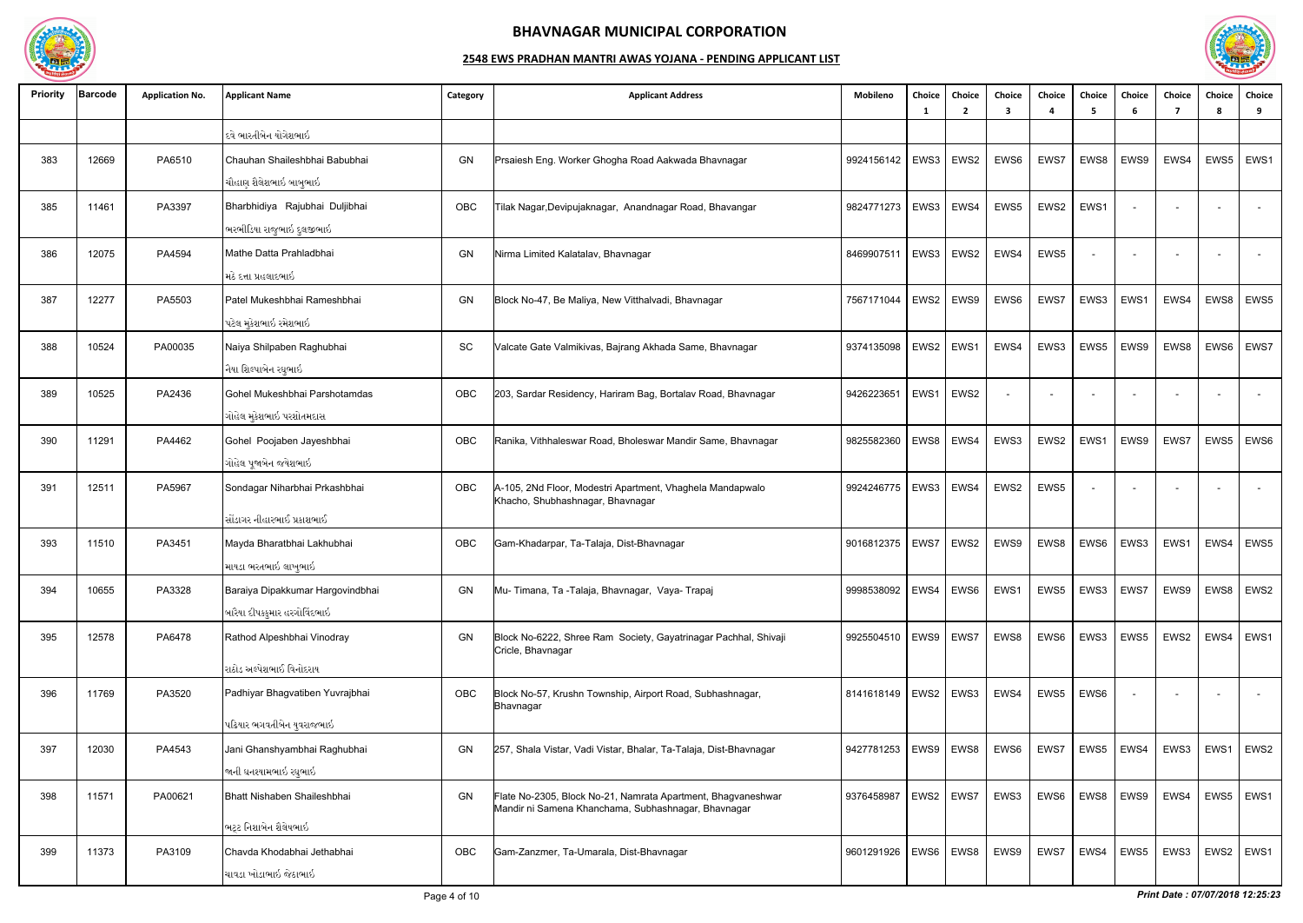

| <b>Priority</b> | <b>Barcode</b> | <b>Application No.</b> | <b>Applicant Name</b>                                            | Category | <b>Applicant Address</b>                                                                                            | Mobileno                 | Choice<br>- 1 | Choice<br>$\overline{2}$ | Choice<br>3 | Choice | Choice<br>-5             | Choice<br>-6 | Choice<br>7 | Choice<br><b>R</b> | Choice<br>9              |
|-----------------|----------------|------------------------|------------------------------------------------------------------|----------|---------------------------------------------------------------------------------------------------------------------|--------------------------|---------------|--------------------------|-------------|--------|--------------------------|--------------|-------------|--------------------|--------------------------|
|                 |                |                        | દવે ભારતીબેન યોગેશભાઇ                                            |          |                                                                                                                     |                          |               |                          |             |        |                          |              |             |                    |                          |
| 383             | 12669          | PA6510                 | Chauhan Shaileshbhai Babubhai<br>ચૌહાણ શૈલેશભાઇ બાબુભાઇ          | GN       | Prsaiesh Eng. Worker Ghogha Road Aakwada Bhavnagar                                                                  | 9924156142               | EWS3          | EWS <sub>2</sub>         | EWS6        | EWS7   | EWS8                     | EWS9         | EWS4        | EWS5               | EWS1                     |
| 385             | 11461          | PA3397                 | Bharbhidiya Rajubhai Duljibhai<br>ભરભીડિયા રાજુભાઇ દુલજીભાઇ      | OBC      | Tilak Nagar, Devipujaknagar, Anandnagar Road, Bhavangar                                                             | 9824771273               |               | EWS3   EWS4              | EWS5        | EWS2   | EWS1                     |              |             |                    |                          |
| 386             | 12075          | PA4594                 | Mathe Datta Prahladbhai<br>મઠે દત્તા પ્રહલાદભાઇ                  | GN       | Nirma Limited Kalatalav, Bhavnagar                                                                                  | 8469907511               |               | EWS3   EWS2              | EWS4        | EWS5   |                          |              |             |                    | $\overline{\phantom{a}}$ |
| 387             | 12277          | PA5503                 | Patel Mukeshbhai Rameshbhai<br>પટેલ મુકેશભાઇ રમેશભાઇ             | GN       | Block No-47, Be Maliya, New Vitthalvadi, Bhavnagar                                                                  | 7567171044               | EWS2          | EWS9                     | EWS6        | EWS7   | EWS3                     | EWS1         | EWS4        | EWS8               | EWS5                     |
| 388             | 10524          | PA00035                | Naiya Shilpaben Raghubhai<br>નૈયા શિલ્પાબેન રઘુભાઇ               | SC       | Valcate Gate Valmikivas, Bajrang Akhada Same, Bhavnagar                                                             | 9374135098               | EWS2          | EWS1                     | EWS4        | EWS3   | EWS5                     | EWS9         | EWS8        | EWS6               | EWS7                     |
| 389             | 10525          | PA2436                 | Gohel Mukeshbhai Parshotamdas<br>ગોહેલ મુકેશભાઇ પરશોતમદાસ        | OBC      | 203, Sardar Residency, Hariram Bag, Bortalav Road, Bhavnagar                                                        | 9426223651               | EWS1          | EWS2                     |             |        | $\overline{\phantom{a}}$ |              |             |                    | $\sim$                   |
| 390             | 11291          | PA4462                 | Gohel Poojaben Jayeshbhai<br>ગોહેલ પૂજાબેન જયેશભાઇ               | OBC      | Ranika, Vithhaleswar Road, Bholeswar Mandir Same, Bhavnagar                                                         | 9825582360               | EWS8          | EWS4                     | EWS3        | EWS2   | EWS1                     | EWS9         | EWS7        | EWS5               | EWS6                     |
| 391             | 12511          | PA5967                 | Sondagar Niharbhai Prkashbhai<br>સોંડાગર નીહારભાઈ પ્રકાશભાઈ      | OBC      | A-105, 2Nd Floor, Modestri Apartment, Vhaghela Mandapwalo<br>Khacho, Shubhashnagar, Bhavnagar                       | 9924246775               | EWS3          | EWS4                     | EWS2        | EWS5   |                          |              |             |                    | $\sim$                   |
| 393             | 11510          | PA3451                 | Mayda Bharatbhai Lakhubhai<br>માયડા ભરતભાઇ લાખુભાઇ               | OBC      | Gam-Khadarpar, Ta-Talaja, Dist-Bhavnagar                                                                            | 9016812375               | EWS7          | EWS2                     | EWS9        | EWS8   | EWS6                     | EWS3         | EWS1        | EWS4               | EWS5                     |
| 394             | 10655          | PA3328                 | Baraiya Dipakkumar Hargovindbhai<br>બારૈયા દીપકકુમાર હરગોવિંદભાઇ | GN       | Mu- Timana, Ta -Talaja, Bhavnagar, Vaya- Trapaj                                                                     | 9998538092               | EWS4          | EWS6                     | EWS1        | EWS5   | EWS3                     | EWS7         | EWS9        | EWS8               | EWS <sub>2</sub>         |
| 395             | 12578          | PA6478                 | Rathod Alpeshbhai Vinodray<br>રાઠોડ અલ્પેશભાઈ વિનોદરાય           | GN       | Block No-6222, Shree Ram Society, Gayatrinagar Pachhal, Shivaji<br>Cricle, Bhavnagar                                | 9925504510               | EWS9 EWS7     |                          | EWS8        | EWS6   | EWS3                     | EWS5         | EWS2        | EWS4               | EWS1                     |
| 396             | 11769          | PA3520                 | Padhiyar Bhagvatiben Yuvrajbhai<br>પઢિયાર ભગવતીબેન યુવરાજભાઇ     | OBC      | Block No-57, Krushn Township, Airport Road, Subhashnagar,<br>Bhavnagar                                              | 8141618149   EWS2   EWS3 |               |                          | EWS4        | EWS5   | EWS6                     |              |             |                    | $\sim$                   |
| 397             | 12030          | PA4543                 | Jani Ghanshyambhai Raghubhai<br>જાની ઘનશ્યામભાઇ રઘુભાઇ           | GN       | 257, Shala Vistar, Vadi Vistar, Bhalar, Ta-Talaja, Dist-Bhavnagar                                                   | 9427781253               |               | EWS9   EWS8              | EWS6        | EWS7   | EWS5                     | EWS4         | EWS3        | EWS1               | EWS2                     |
| 398             | 11571          | PA00621                | Bhatt Nishaben Shaileshbhai<br>ભટ્ટ નિશાબેન શૈલેષભાઇ             | GN       | Flate No-2305, Block No-21, Namrata Apartment, Bhagvaneshwar<br>Mandir ni Samena Khanchama, Subhashnagar, Bhavnagar | 9376458987               | EWS2          | EWS7                     | EWS3        | EWS6   | EWS8                     | EWS9         | EWS4        | EWS5               | EWS1                     |
| 399             | 11373          | PA3109                 | Chavda Khodabhai Jethabhai<br>ચાવડા ખોડાભાઇ જેઠાભાઇ              | OBC      | Gam-Zanzmer, Ta-Umarala, Dist-Bhavnagar                                                                             | 9601291926   EWS6   EWS8 |               |                          | EWS9        | EWS7   | EWS4                     | EWS5         | EWS3        | EWS2               | EWS1                     |

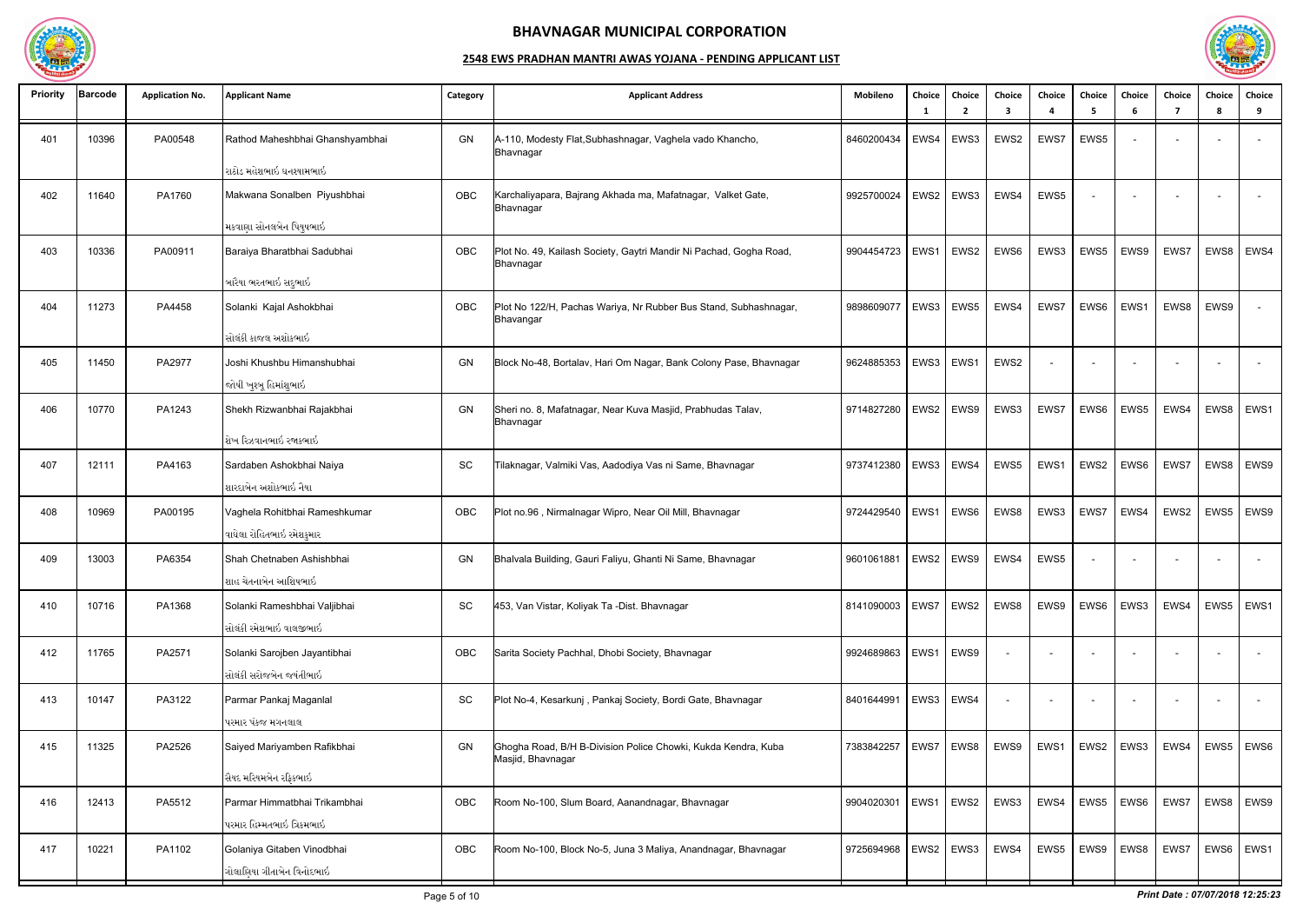

| <b>Priority</b> | <b>Barcode</b> | <b>Application No.</b> | <b>Applicant Name</b>                                     | Category  | <b>Applicant Address</b>                                                           | Mobileno   | Choice<br>- 1 | Choice<br>2      | Choice<br>3 | Choice                   | Choice<br>-5             | Choice<br>-6 | Choice<br>7 | Choice<br>-8 | Choice<br>9              |
|-----------------|----------------|------------------------|-----------------------------------------------------------|-----------|------------------------------------------------------------------------------------|------------|---------------|------------------|-------------|--------------------------|--------------------------|--------------|-------------|--------------|--------------------------|
| 401             | 10396          | PA00548                | Rathod Maheshbhai Ghanshyambhai                           | GN        | A-110, Modesty Flat, Subhashnagar, Vaghela vado Khancho,<br>Bhavnagar              | 8460200434 | EWS4          | EWS3             | EWS2        | EWS7                     | EWS5                     |              |             |              |                          |
|                 |                |                        | રાઠોડ મહેશભાઇ ઘનશ્યામભાઇ                                  |           |                                                                                    |            |               |                  |             |                          |                          |              |             |              |                          |
| 402             | 11640          | PA1760                 | Makwana Sonalben Piyushbhai                               | OBC       | Karchaliyapara, Bajrang Akhada ma, Mafatnagar, Valket Gate,<br>Bhavnagar           | 9925700024 | EWS2          | EWS3             | EWS4        | EWS5                     |                          |              |             |              |                          |
|                 |                |                        | મકવાણા સોનલબેન પિયુષભાઇ                                   |           |                                                                                    |            |               |                  |             |                          |                          |              |             |              |                          |
| 403             | 10336          | PA00911                | Baraiya Bharatbhai Sadubhai                               | OBC       | Plot No. 49, Kailash Society, Gaytri Mandir Ni Pachad, Gogha Road,<br>Bhavnagar    | 9904454723 | EWS1          | EWS2             | EWS6        | EWS3                     | EWS5                     | EWS9         | EWS7        | EWS8         | EWS4                     |
|                 |                |                        | બારૈયા ભરતભાઇ સદુભાઇ                                      |           |                                                                                    |            |               |                  |             |                          |                          |              |             |              |                          |
| 404             | 11273          | PA4458                 | Solanki Kajal Ashokbhai                                   | OBC       | Plot No 122/H, Pachas Wariya, Nr Rubber Bus Stand, Subhashnagar,<br>Bhavangar      | 9898609077 |               | $EWS3$ EWS5      | EWS4        | EWS7                     | EWS6                     | EWS1         | EWS8        | EWS9         | $\overline{\phantom{a}}$ |
|                 |                |                        | સોલંકી કાજલ અશોકભાઇ                                       |           |                                                                                    |            |               |                  |             |                          |                          |              |             |              |                          |
| 405             | 11450          | PA2977                 | Joshi Khushbu Himanshubhai<br>જોષી ખુશ્બૂ હિમાંશુભાઇ      | GN        | Block No-48, Bortalav, Hari Om Nagar, Bank Colony Pase, Bhavnagar                  | 9624885353 | EWS3          | EWS1             | EWS2        | $\overline{\phantom{a}}$ | $\sim$                   |              |             |              |                          |
| 406             | 10770          | PA1243                 | Shekh Rizwanbhai Rajakbhai                                | <b>GN</b> | Sheri no. 8, Mafatnagar, Near Kuva Masjid, Prabhudas Talav,<br>Bhavnagar           | 9714827280 | EWS2          | EWS9             | EWS3        | EWS7                     | EWS6                     | EWS5         | EWS4        | EWS8         | EWS1                     |
|                 |                |                        | શેખ રિઝવાનભાઇ રજાકભાઇ                                     |           |                                                                                    |            |               |                  |             |                          |                          |              |             |              |                          |
| 407             | 12111          | PA4163                 | Sardaben Ashokbhai Naiya<br>શારદાબેન અશોકભાઇ નૈયા         | <b>SC</b> | Tilaknagar, Valmiki Vas, Aadodiya Vas ni Same, Bhavnagar                           | 9737412380 | EWS3          | EWS4             | EWS5        | EWS1                     | EWS2                     | EWS6         | EWS7        | EWS8         | EWS9                     |
| 408             | 10969          | PA00195                | Vaghela Rohitbhai Rameshkumar                             | OBC       | Plot no.96, Nirmalnagar Wipro, Near Oil Mill, Bhavnagar                            | 9724429540 | EWS1          | EWS6             | EWS8        | EWS3                     | EWS7                     | EWS4         | EWS2        | EWS5         | EWS9                     |
|                 |                |                        | વાઘેલા રોહિતભાઇ રમેશકુમાર                                 |           |                                                                                    |            |               |                  |             |                          |                          |              |             |              |                          |
| 409             | 13003          | PA6354                 | Shah Chetnaben Ashishbhai<br>શાહ ચેતનાબેન આશિષભાઇ         | GN        | Bhalvala Building, Gauri Faliyu, Ghanti Ni Same, Bhavnagar                         | 9601061881 | EWS2          | EWS9             | EWS4        | EWS5                     | $\overline{\phantom{a}}$ |              |             |              |                          |
| 410             | 10716          | PA1368                 | Solanki Rameshbhai Valjibhai                              | SC        | 453, Van Vistar, Koliyak Ta -Dist. Bhavnagar                                       | 8141090003 | EWS7          | EWS2             | EWS8        | EWS9                     | EWS6                     | EWS3         | EWS4        | EWS5         | EWS1                     |
|                 |                |                        | સોલંકી રમેશભાઇ વાલજીભાઇ                                   |           |                                                                                    |            |               |                  |             |                          |                          |              |             |              |                          |
| 412             | 11765          | PA2571                 | Solanki Sarojben Jayantibhai<br>સોલંકી સરોજબેન જયંતીભાઇ   | OBC       | Sarita Society Pachhal, Dhobi Society, Bhavnagar                                   | 9924689863 | EWS1          | EWS9             |             |                          |                          |              |             |              | $\sim$                   |
| 413             | 10147          | PA3122                 | Parmar Pankaj Maganlal                                    | SC        | Plot No-4, Kesarkunj, Pankaj Society, Bordi Gate, Bhavnagar                        | 8401644991 | EWS3   EWS4   |                  |             |                          |                          |              |             |              |                          |
|                 |                |                        | પરમાર પંકજ મગનલાલ                                         |           |                                                                                    |            |               |                  |             |                          |                          |              |             |              |                          |
| 415             | 11325          | PA2526                 | Saiyed Mariyamben Rafikbhai                               | GN        | Ghogha Road, B/H B-Division Police Chowki, Kukda Kendra, Kuba<br>Masjid, Bhavnagar | 7383842257 |               | EWS7   EWS8      | EWS9        | EWS1                     | EWS2   EWS3              |              | EWS4        |              | EWS5   EWS6              |
|                 |                |                        | સૈયદ મરિયમબેન રફિકભાઇ                                     |           |                                                                                    |            |               |                  |             |                          |                          |              |             |              |                          |
| 416             | 12413          | PA5512                 | Parmar Himmatbhai Trikambhai<br>પરમાર હિમ્મતભાઇ ત્રિકમભાઇ | OBC       | Room No-100, Slum Board, Aanandnagar, Bhavnagar                                    | 9904020301 | EWS1          | EWS <sub>2</sub> | EWS3        | EWS4                     | EWS5                     | EWS6         | EWS7        | EWS8         | EWS9                     |
| 417             | 10221          | PA1102                 | Golaniya Gitaben Vinodbhai                                | OBC       | Room No-100, Block No-5, Juna 3 Maliya, Anandnagar, Bhavnagar                      | 9725694968 |               | EWS2   EWS3      | EWS4        | EWS5                     | EWS9                     | EWS8         | EWS7        |              | EWS6   EWS1              |
|                 |                |                        | ગોલાણિયા ગીતાબેન વિનોદભાઇ                                 |           |                                                                                    |            |               |                  |             |                          |                          |              |             |              |                          |
|                 |                |                        |                                                           |           |                                                                                    |            |               |                  |             |                          |                          |              |             |              |                          |

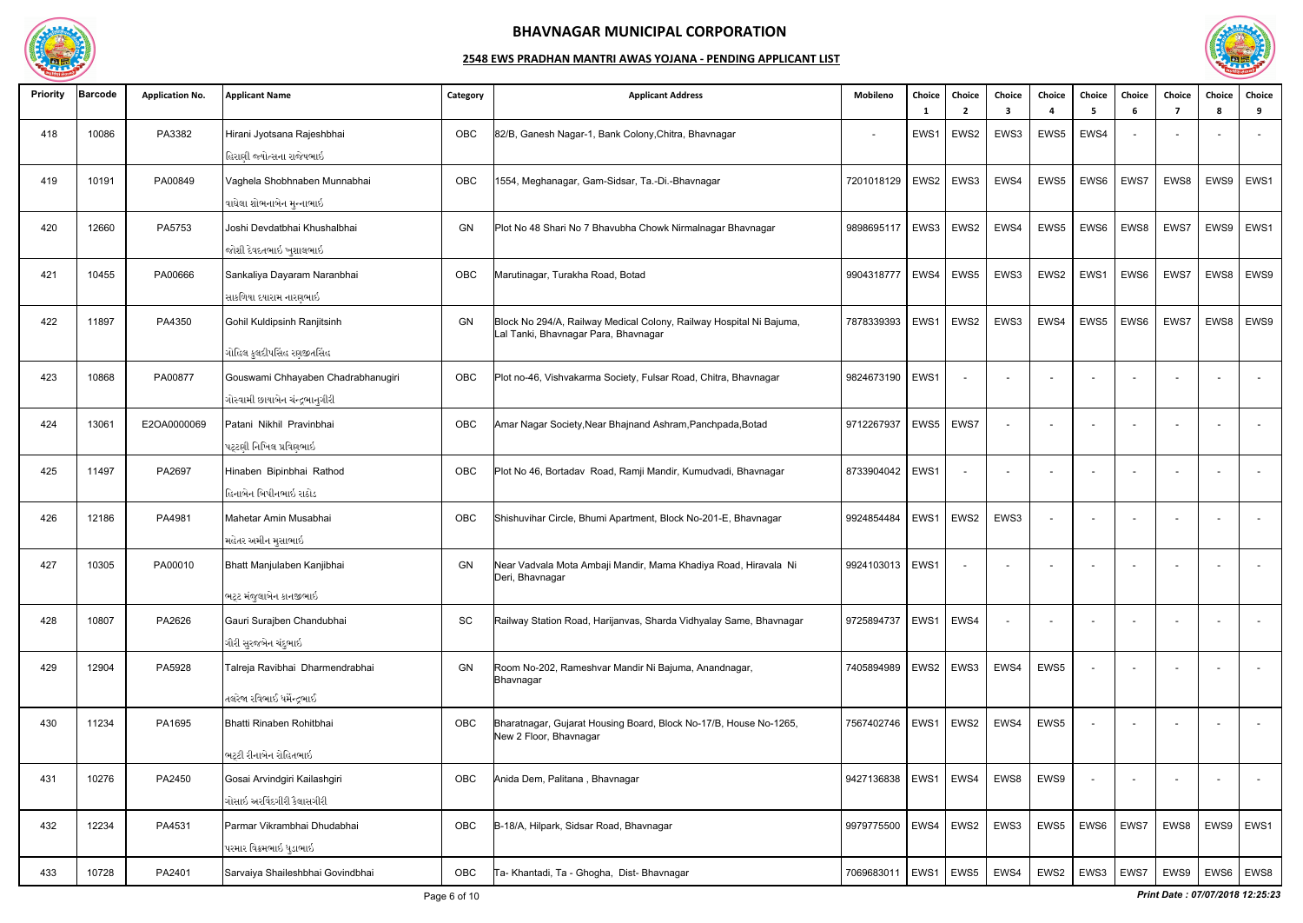

| <b>Priority</b> | <b>Barcode</b> | <b>Application No.</b> | <b>Applicant Name</b>                                                                                | Category  | <b>Applicant Address</b>                                                                                   | Mobileno          | Choice<br>- 1     | Choice<br>$\overline{2}$ | Choice<br>3 | Choice                   | Choice<br>- 5 | Choice<br>-6 | Choice<br>-7 | Choice<br>Я. | Choice<br>-9             |
|-----------------|----------------|------------------------|------------------------------------------------------------------------------------------------------|-----------|------------------------------------------------------------------------------------------------------------|-------------------|-------------------|--------------------------|-------------|--------------------------|---------------|--------------|--------------|--------------|--------------------------|
| 418             | 10086          | PA3382                 | Hirani Jyotsana Rajeshbhai<br>હિરાણી જ્યોત્સના રાજેષભાઇ                                              | OBC       | 82/B, Ganesh Nagar-1, Bank Colony, Chitra, Bhavnagar                                                       | $\blacksquare$    | EWS1              | EWS2                     | EWS3        | EWS5                     | EWS4          |              |              |              |                          |
| 419             | 10191          | PA00849                | Vaghela Shobhnaben Munnabhai<br>વાઘેલા શોભનાબેન મુન્નાભાઇ                                            | OBC       | 1554, Meghanagar, Gam-Sidsar, Ta.-Di.-Bhavnagar                                                            | 7201018129        |                   | EWS2   EWS3              | EWS4        | EWS5                     | EWS6          | EWS7         | EWS8         | EWS9         | EWS1                     |
| 420             | 12660          | PA5753                 | Joshi Devdatbhai Khushalbhai<br>જોશી દેવદતભાઇ ખુશાલભાઇ                                               | GN        | Plot No 48 Shari No 7 Bhavubha Chowk Nirmalnagar Bhavnagar                                                 | 9898695117        | EWS3              | $\mathsf{EWS2}$          | EWS4        | EWS5                     | EWS6          | EWS8         | EWS7         | EWS9         | EWS1                     |
| 421             | 10455          | PA00666                | Sankaliya Dayaram Naranbhai<br>સાકળિયા દયારામ નારણભાઇ                                                | OBC       | Marutinagar, Turakha Road, Botad                                                                           | 9904318777        | EWS4              | EWS5                     | EWS3        | EWS2                     | EWS1          | EWS6         | EWS7         | EWS8         | EWS9                     |
| 422             | 11897          | PA4350                 | Gohil Kuldipsinh Ranjitsinh                                                                          | GN        | Block No 294/A, Railway Medical Colony, Railway Hospital Ni Bajuma,<br>al Tanki, Bhavnagar Para, Bhavnagar | 7878339393        | EWS1              | EWS2                     | EWS3        | EWS4                     | EWS5          | EWS6         | EWS7         | EWS8         | EWS9                     |
| 423             | 10868          | PA00877                | ગોહિલ કુલદીપસિંહ રણજીતસિંહ<br>Gouswami Chhayaben Chadrabhanugiri<br>ગોસ્વામી છાયાબેન ચંન્દ્રભાનુગીરી | OBC       | Plot no-46, Vishvakarma Society, Fulsar Road, Chitra, Bhavnagar                                            | 9824673190        | EWS1              |                          |             |                          |               |              |              |              |                          |
| 424             | 13061          | E2OA0000069            | Patani Nikhil Pravinbhai<br>પટ્ટણી નિખિલ પ્રવિણભાઇ                                                   | OBC       | Amar Nagar Society, Near Bhajnand Ashram, Panchpada, Botad                                                 | 9712267937        |                   | EWS5   EWS7              |             |                          |               |              |              |              |                          |
| 425             | 11497          | PA2697                 | Hinaben Bipinbhai Rathod<br>હિનાબેન બિપીનભાઇ રાઠોડ                                                   | OBC       | Plot No 46, Bortadav Road, Ramji Mandir, Kumudvadi, Bhavnagar                                              | 8733904042        | EWS1              |                          |             |                          |               |              |              |              |                          |
| 426             | 12186          | PA4981                 | Mahetar Amin Musabhai<br>મહેતર અમીન મુસાભાઇ                                                          | OBC       | Shishuvihar Circle, Bhumi Apartment, Block No-201-E, Bhavnagar                                             | 9924854484        | EWS1              | EWS2                     | EWS3        | $\overline{\phantom{a}}$ |               |              |              |              |                          |
| 427             | 10305          | PA00010                | Bhatt Manjulaben Kanjibhai                                                                           | GN        | Near Vadvala Mota Ambaji Mandir, Mama Khadiya Road, Hiravala Ni<br>Deri, Bhavnagar                         | 9924103013        | EWS1              |                          |             |                          |               |              |              |              |                          |
| 428             | 10807          | PA2626                 | ભટ્ટ મંજુલાબેન કાનજીભાઇ<br>Gauri Surajben Chandubhai<br>ગૌરી સુરજબેન ચંદુભાઇ                         | <b>SC</b> | Railway Station Road, Harijanvas, Sharda Vidhyalay Same, Bhavnagar                                         | 9725894737        |                   | EWS1   EWS4              |             |                          |               |              |              |              |                          |
| 429             | 12904          | PA5928                 | Talreja Ravibhai Dharmendrabhai<br>તલરેજા રવિભાઈ ધર્મેન્દ્રભાઈ                                       | GN        | Room No-202, Rameshvar Mandir Ni Bajuma, Anandnagar,<br>Bhavnagar                                          | 7405894989        |                   | EWS2 EWS3                | EWS4        | EWS5                     |               |              |              |              |                          |
| 430             | 11234          | PA1695                 | Bhatti Rinaben Rohitbhai                                                                             | OBC       | Bharatnagar, Gujarat Housing Board, Block No-17/B, House No-1265,<br>New 2 Floor, Bhavnagar                | 7567402746   EWS1 |                   | EWS2                     | EWS4        | EWS5                     |               |              |              |              | $\overline{\phantom{a}}$ |
| 431             | 10276          | PA2450                 | ભટ્ટી રીનાબેન રોહિતભાઇ<br>Gosai Arvindgiri Kailashgiri<br>ગોસાઇ અરવિંદગીરી કૈલાસગીરી                 | OBC       | Anida Dem, Palitana, Bhavnagar                                                                             | 9427136838        | $ $ EWS1 $ $ EWS4 |                          | EWS8        | EWS9                     |               |              |              |              |                          |
| 432             | 12234          | PA4531                 | Parmar Vikrambhai Dhudabhai<br>પરમાર વિક્રમભાઇ ધુડાભાઇ                                               | OBC       | B-18/A, Hilpark, Sidsar Road, Bhavnagar                                                                    | 9979775500        | EWS4              | EWS2                     | EWS3        | EWS5                     | EWS6          | EWS7         | EWS8         |              | EWS9   EWS1              |
| 433             | 10728          | PA2401                 | Sarvaiya Shaileshbhai Govindbhai                                                                     | OBC       | Ta- Khantadi, Ta - Ghogha, Dist- Bhavnagar                                                                 | 7069683011        |                   | EWS1   EWS5              | EWS4        | EWS2                     | EWS3   EWS7   |              | EWS9         |              | EWS6   EWS8              |

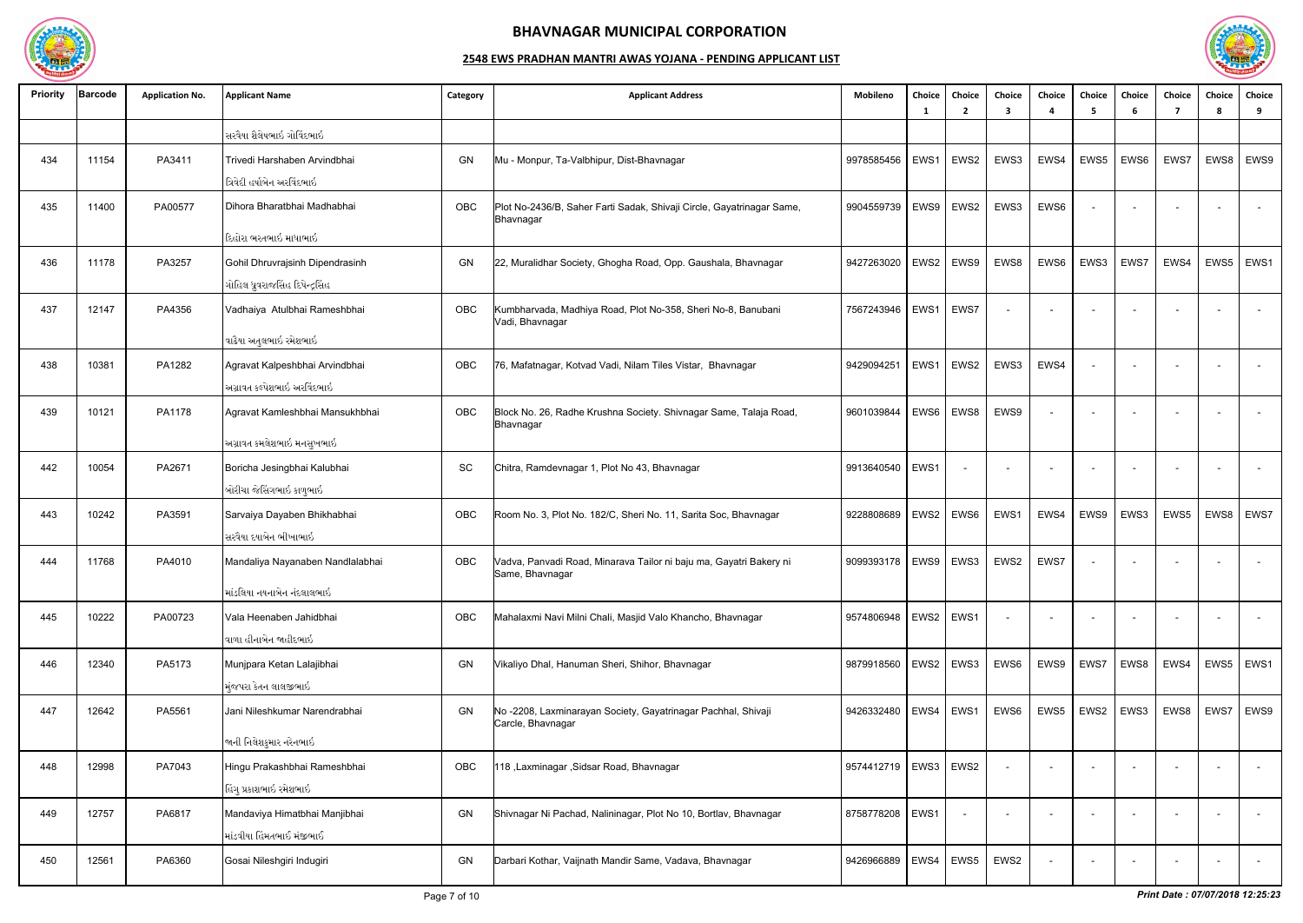

| <b>Priority</b> | <b>Barcode</b> | <b>Application No.</b> | <b>Applicant Name</b>                                               | Category | <b>Applicant Address</b>                                                              | Mobileno   | Choice<br>- 1 | <b>Choice</b><br>$\mathbf{2}$ | Choice<br>3              | Choice<br>Δ              | Choice<br>-5 | <b>Choice</b><br>-6 | Choice<br>-7             | Choice<br>8 | Choice<br>9 |
|-----------------|----------------|------------------------|---------------------------------------------------------------------|----------|---------------------------------------------------------------------------------------|------------|---------------|-------------------------------|--------------------------|--------------------------|--------------|---------------------|--------------------------|-------------|-------------|
|                 |                |                        | સરવૈયા શૈલેષભાઇ ગોવિંદભાઇ                                           |          |                                                                                       |            |               |                               |                          |                          |              |                     |                          |             |             |
| 434             | 11154          | PA3411                 | Trivedi Harshaben Arvindbhai<br>ત્રિવેદી હર્ષાબેન અરવિંદભાઇ         | GN       | Mu - Monpur, Ta-Valbhipur, Dist-Bhavnagar                                             | 9978585456 | EWS1          | EWS2                          | EWS3                     | EWS4                     | EWS5         | EWS6                | EWS7                     | EWS8        | EWS9        |
| 435             | 11400          | PA00577                | Dihora Bharatbhai Madhabhai                                         | OBC      | Plot No-2436/B, Saher Farti Sadak, Shivaji Circle, Gayatrinagar Same,<br>Bhavnagar    | 9904559739 | EWS9          | EWS2                          | EWS3                     | EWS6                     |              |                     |                          |             |             |
|                 |                |                        | દિહોરા ભરતભાઇ માધાભાઇ                                               |          |                                                                                       |            |               |                               |                          |                          |              |                     |                          |             |             |
| 436             | 11178          | PA3257                 | Gohil Dhruvrajsinh Dipendrasinh<br>ગોહિલ ધ્રુવરાજસિંહ દિપેન્દ્રસિંહ | GN       | 22, Muralidhar Society, Ghogha Road, Opp. Gaushala, Bhavnagar                         | 9427263020 | EWS2          | EWS9                          | EWS8                     | EWS6                     | EWS3         | EWS7                | EWS4                     | EWS5        | EWS1        |
| 437             | 12147          | PA4356                 | Vadhaiya Atulbhai Rameshbhai                                        | OBC      | Kumbharvada, Madhiya Road, Plot No-358, Sheri No-8, Banubani<br>Vadi, Bhavnagar       | 7567243946 | EWS1          | EWS7                          |                          | $\overline{\phantom{a}}$ |              |                     |                          |             | $\sim$      |
|                 |                |                        | વાઢૈયા અતુલભાઇ રમેશભાઇ                                              |          |                                                                                       |            |               |                               |                          |                          |              |                     |                          |             |             |
| 438             | 10381          | PA1282                 | Agravat Kalpeshbhai Arvindbhai<br>અગ્રાવત કલ્પેશભાઇ અરવિંદભાઇ       | OBC      | 76, Mafatnagar, Kotvad Vadi, Nilam Tiles Vistar, Bhavnagar                            | 9429094251 | EWS1          | EWS2                          | EWS3                     | EWS4                     |              |                     |                          |             |             |
| 439             | 10121          | PA1178                 | Agravat Kamleshbhai Mansukhbhai                                     | OBC      | Block No. 26, Radhe Krushna Society. Shivnagar Same, Talaja Road,<br>Bhavnagar        | 9601039844 | EWS6          | EWS8                          | EWS9                     |                          |              |                     |                          |             |             |
|                 |                |                        | અગ્રાવત કમલેશભાઇ મનસુખભાઇ                                           |          |                                                                                       |            |               |                               |                          |                          |              |                     |                          |             |             |
| 442             | 10054          | PA2671                 | Boricha Jesingbhai Kalubhai<br>બોરીચા જેસિંગભાઇ કાળુભાઇ             | SC       | Chitra, Ramdevnagar 1, Plot No 43, Bhavnagar                                          | 9913640540 | EWS1          | $\sim$                        | $\overline{\phantom{a}}$ | $\overline{\phantom{a}}$ |              | $\sim$              | $\sim$                   |             | $\sim$      |
| 443             | 10242          | PA3591                 | Sarvaiya Dayaben Bhikhabhai<br>સરવૈયા દયાબેન ભીખાભાઇ                | OBC      | Room No. 3, Plot No. 182/C, Sheri No. 11, Sarita Soc, Bhavnagar                       | 9228808689 | EWS2          | EWS6                          | EWS1                     | EWS4                     | EWS9         | EWS3                | EWS5                     | EWS8        | EWS7        |
| 444             | 11768          | PA4010                 | Mandaliya Nayanaben Nandlalabhai                                    | OBC      | Vadva, Panvadi Road, Minarava Tailor ni baju ma, Gayatri Bakery ni<br>Same, Bhavnagar | 9099393178 |               | EWS9 EWS3                     | EWS2                     | EWS7                     |              |                     |                          |             |             |
|                 |                |                        | માંડલિયા નયનાબેન નંદલાલભાઇ                                          |          |                                                                                       |            |               |                               |                          |                          |              |                     |                          |             |             |
| 445             | 10222          | PA00723                | Vala Heenaben Jahidbhai<br>વાળા હીનાબેન જાહીદભાઇ                    | OBC      | Mahalaxmi Navi Milni Chali, Masjid Valo Khancho, Bhavnagar                            | 9574806948 | EWS2   EWS1   |                               |                          |                          |              |                     | $\overline{a}$           |             | $\sim$      |
| 446             | 12340          | PA5173                 | Munjpara Ketan Lalajibhai                                           | GN       | Vikaliyo Dhal, Hanuman Sheri, Shihor, Bhavnagar                                       | 9879918560 |               | EWS2   EWS3                   | EWS6                     | EWS9                     | EWS7         | EWS8                | EWS4                     | EWS5        | EWS1        |
|                 |                |                        | મંજપરા કેતન લાલજીભાઇ                                                |          |                                                                                       |            |               |                               |                          |                          |              |                     |                          |             |             |
| 447             | 12642          | PA5561                 | Jani Nileshkumar Narendrabhai                                       | GN       | No-2208, Laxminarayan Society, Gayatrinagar Pachhal, Shivaji<br>Carcle, Bhavnagar     | 9426332480 | EWS4          | EWS1                          | EWS6                     | EWS5                     | EWS2         | EWS3                | EWS8                     | EWS7        | EWS9        |
|                 |                |                        | જાની નિલેશકુમાર નરેનભાઇ                                             |          |                                                                                       |            |               |                               |                          |                          |              |                     |                          |             |             |
| 448             | 12998          | PA7043                 | Hingu Prakashbhai Rameshbhai<br>હિંગુ પ્રકાશભાઇ રમેશભાઇ             | OBC      | 118, Laxminagar, Sidsar Road, Bhavnagar                                               | 9574412719 | EWS3          | EWS2                          |                          |                          |              |                     | $\sim$                   |             | $\sim$      |
| 449             | 12757          | PA6817                 | Mandaviya Himatbhai Manjibhai<br>માંડવીયા હિંમતભાઈ મંજીભાઈ          | GN       | Shivnagar Ni Pachad, Nalininagar, Plot No 10, Bortlav, Bhavnagar                      | 8758778208 | EWS1          | $\overline{\phantom{a}}$      | $\sim$                   |                          |              |                     | $\sim$                   |             | $\sim$      |
| 450             | 12561          | PA6360                 | Gosai Nileshgiri Indugiri                                           | GN       | Darbari Kothar, Vaijnath Mandir Same, Vadava, Bhavnagar                               | 9426966889 | EWS4          | EWS5                          | EWS2                     |                          |              |                     | $\overline{\phantom{a}}$ |             | $\sim$      |

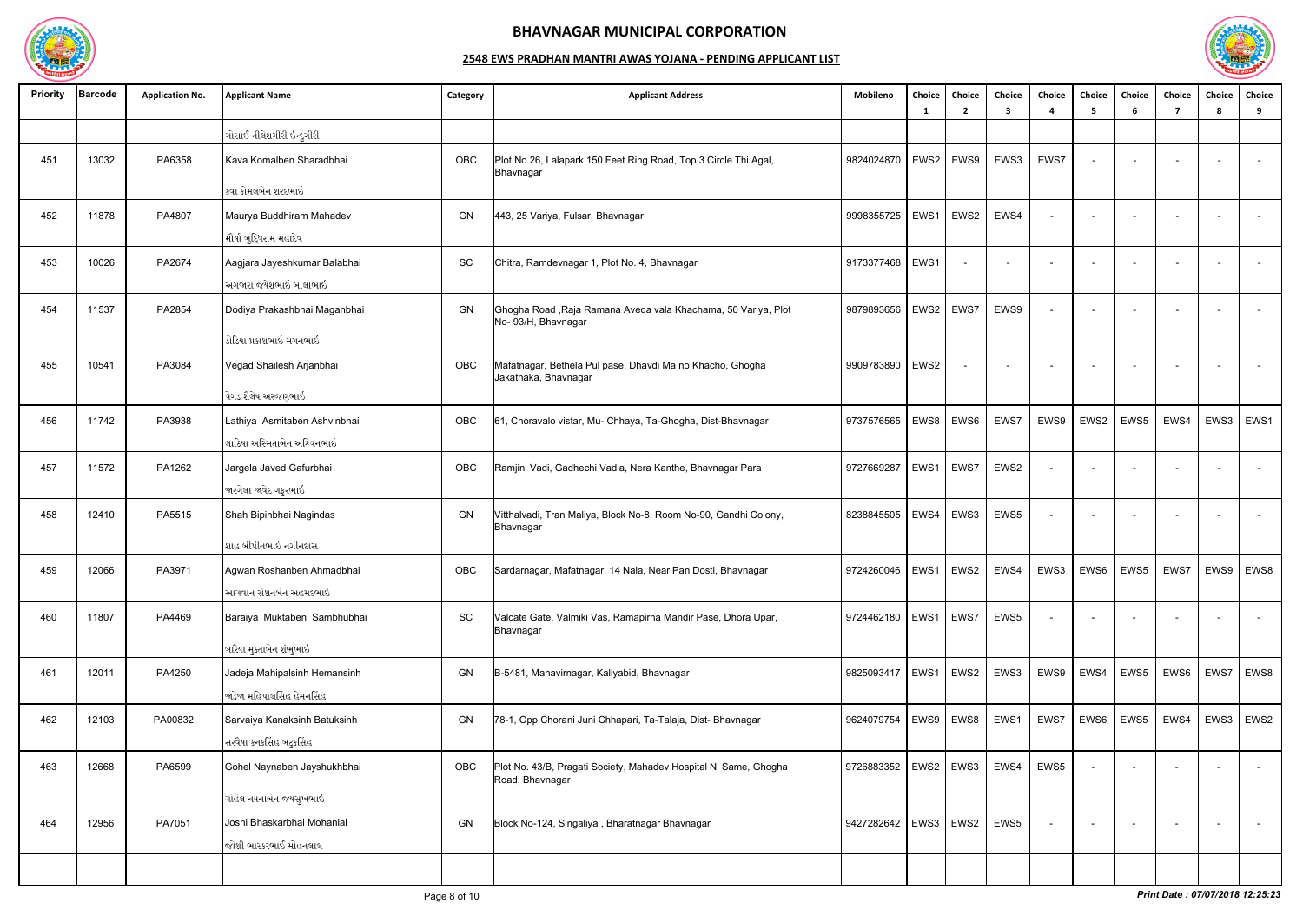

| <b>Priority</b> | <b>Barcode</b> | <b>Application No.</b> | <b>Applicant Name</b>        | Category | <b>Applicant Address</b>                                                             | Mobileno                 | Choice<br>-1     | Choice<br>$\overline{2}$ | Choice<br>3 | Choice<br>$\mathbf{a}$   | Choice<br>-5 | Choice<br>6              | Choice<br>-7             | Choice<br>8        | Choice<br>9      |
|-----------------|----------------|------------------------|------------------------------|----------|--------------------------------------------------------------------------------------|--------------------------|------------------|--------------------------|-------------|--------------------------|--------------|--------------------------|--------------------------|--------------------|------------------|
|                 |                |                        | ગોસાઈ નીલેશગીરી ઇન્દુગીરી    |          |                                                                                      |                          |                  |                          |             |                          |              |                          |                          |                    |                  |
| 451             | 13032          | PA6358                 | Kava Komalben Sharadbhai     | OBC      | Plot No 26, Lalapark 150 Feet Ring Road, Top 3 Circle Thi Agal,<br>Bhavnagar         | 9824024870   EWS2        |                  | EWS9                     | EWS3        | EWS7                     |              | $\overline{\phantom{0}}$ | $\sim$                   |                    | $\sim$           |
|                 |                |                        | કવા કોમલબેન શરદભાઇ           |          |                                                                                      |                          |                  |                          |             |                          |              |                          |                          |                    |                  |
| 452             | 11878          | PA4807                 | Maurya Buddhiram Mahadev     | GN       | 443, 25 Variya, Fulsar, Bhavnagar                                                    | 9998355725               | EWS1             | EWS2                     | EWS4        | $\sim$                   |              |                          |                          |                    | $\sim$           |
|                 |                |                        | મૌર્યા બુદ્ધિરામ મહાદેવ      |          |                                                                                      |                          |                  |                          |             |                          |              |                          |                          |                    |                  |
| 453             | 10026          | PA2674                 | Aagjara Jayeshkumar Balabhai | SC       | Chitra, Ramdevnagar 1, Plot No. 4, Bhavnagar                                         | 9173377468   EWS1        |                  |                          | $\sim$      | $\overline{\phantom{a}}$ |              |                          | $\overline{a}$           |                    | $\sim$           |
|                 |                |                        | અગજારા જયેશભાઇ બાલાભાઇ       |          |                                                                                      |                          |                  |                          |             |                          |              |                          |                          |                    |                  |
| 454             | 11537          | PA2854                 | Dodiya Prakashbhai Maganbhai | GN       | Ghogha Road, Raja Ramana Aveda vala Khachama, 50 Variya, Plot<br>No- 93/H, Bhavnagar | 9879893656               | EWS2             | EWS7                     | EWS9        | $\sim$                   |              |                          | $\overline{\phantom{0}}$ |                    | $\sim$           |
|                 |                |                        | ડોડિયા પ્રકાશભાઇ મગનભાઇ      |          |                                                                                      |                          |                  |                          |             |                          |              |                          |                          |                    |                  |
| 455             | 10541          | PA3084                 | Vegad Shailesh Arjanbhai     | OBC      | Mafatnagar, Bethela Pul pase, Dhavdi Ma no Khacho, Ghogha<br>Jakatnaka, Bhavnagar    | 9909783890               | EWS <sub>2</sub> |                          |             |                          |              |                          |                          |                    | $\sim$           |
|                 |                |                        | વેગડ શૈલેષ અરજણભાઇ           |          |                                                                                      |                          |                  |                          |             |                          |              |                          |                          |                    |                  |
| 456             | 11742          | PA3938                 | Lathiya Asmitaben Ashvinbhai | OBC      | 61, Choravalo vistar, Mu- Chhaya, Ta-Ghogha, Dist-Bhavnagar                          | 9737576565   EWS8        |                  | EWS6                     | EWS7        | EWS9                     | EWS2         | EWS5                     | EWS4                     | EWS3               | EWS1             |
|                 |                |                        | લાઠિયા અસ્મિતાબેન અશ્વિનભાઇ  |          |                                                                                      |                          |                  |                          |             |                          |              |                          |                          |                    |                  |
| 457             | 11572          | PA1262                 | Jargela Javed Gafurbhai      | OBC      | Ramjini Vadi, Gadhechi Vadla, Nera Kanthe, Bhavnagar Para                            | 9727669287               | EWS1             | EWS7                     | EWS2        | $\sim$                   |              |                          | $\sim$                   |                    | $\sim$           |
|                 |                |                        | જારગેલા જાવેદ ગફુરભાઇ        |          |                                                                                      |                          |                  |                          |             |                          |              |                          |                          |                    |                  |
| 458             | 12410          | PA5515                 | Shah Bipinbhai Nagindas      | GN       | Vitthalvadi, Tran Maliya, Block No-8, Room No-90, Gandhi Colony,<br>Bhavnagar        | 8238845505               | EWS4             | EWS3                     | EWS5        | $\sim$                   |              | $\sim$                   | $\overline{\phantom{a}}$ |                    | $\sim$           |
|                 |                |                        | શાહ બીપીનભાઇ નગીનદાસ         |          |                                                                                      |                          |                  |                          |             |                          |              |                          |                          |                    |                  |
| 459             | 12066          | PA3971                 | Agwan Roshanben Ahmadbhai    | OBC      | Sardarnagar, Mafatnagar, 14 Nala, Near Pan Dosti, Bhavnagar                          | 9724260046               |                  | EWS1   EWS2              | EWS4        | EWS3                     | EWS6         | EWS5                     |                          | EWS7   EWS9   EWS8 |                  |
|                 |                |                        | આગવાન રોશનબેન અહમદભાઇ        |          |                                                                                      |                          |                  |                          |             |                          |              |                          |                          |                    |                  |
| 460             | 11807          | PA4469                 | Baraiya Muktaben Sambhubhai  | SC       | Valcate Gate, Valmiki Vas, Ramapirna Mandir Pase, Dhora Upar,<br>Bhavnagar           | 9724462180   EWS1   EWS7 |                  |                          | EWS5        | $\sim$                   |              |                          | $\overline{\phantom{a}}$ |                    | $\overline{a}$   |
|                 |                |                        | બારૈયા મુક્તાબેન શંભુભાઇ     |          |                                                                                      |                          |                  |                          |             |                          |              |                          |                          |                    |                  |
| 461             | 12011          | PA4250                 | Jadeja Mahipalsinh Hemansinh | GN       | B-5481, Mahavirnagar, Kaliyabid, Bhavnagar                                           | 9825093417   EWS1        |                  | EWS2                     | EWS3        | EWS9                     | EWS4         | EWS5                     | EWS6                     | EWS7               | EWS8             |
|                 |                |                        | જાડેજા મહિપાલસિંહ હેમનસિંહ   |          |                                                                                      |                          |                  |                          |             |                          |              |                          |                          |                    |                  |
| 462             | 12103          | PA00832                | Sarvaiya Kanaksinh Batuksinh | GN       | 78-1, Opp Chorani Juni Chhapari, Ta-Talaja, Dist- Bhavnagar                          | 9624079754   EWS9   EWS8 |                  |                          | EWS1        | EWS7                     | EWS6         | EWS5                     | EWS4                     | EWS3               | EWS <sub>2</sub> |
|                 |                |                        | સરવૈયા કનકસિંહ બટુકસિંહ      |          |                                                                                      |                          |                  |                          |             |                          |              |                          |                          |                    |                  |
| 463             | 12668          | PA6599                 | Gohel Naynaben Jayshukhbhai  | OBC      | Plot No. 43/B, Pragati Society, Mahadev Hospital Ni Same, Ghogha<br>Road, Bhavnagar  | 9726883352               |                  | EWS2   EWS3              | EWS4        | EWS5                     |              |                          |                          |                    | $\sim$           |
|                 |                |                        | ગોહેલ નયનાબેન જયસુખભાઇ       |          |                                                                                      |                          |                  |                          |             |                          |              |                          |                          |                    |                  |
| 464             | 12956          | PA7051                 | Joshi Bhaskarbhai Mohanlal   | GN       | Block No-124, Singaliya, Bharatnagar Bhavnagar                                       | 9427282642   EWS3        |                  | EWS2                     | EWS5        | $\sim$                   |              | $\sim$                   | $\sim$                   |                    | $\sim$           |
|                 |                |                        | જોશી ભાસ્કરભાઈ મોહનલાલ       |          |                                                                                      |                          |                  |                          |             |                          |              |                          |                          |                    |                  |
|                 |                |                        |                              |          |                                                                                      |                          |                  |                          |             |                          |              |                          |                          |                    |                  |

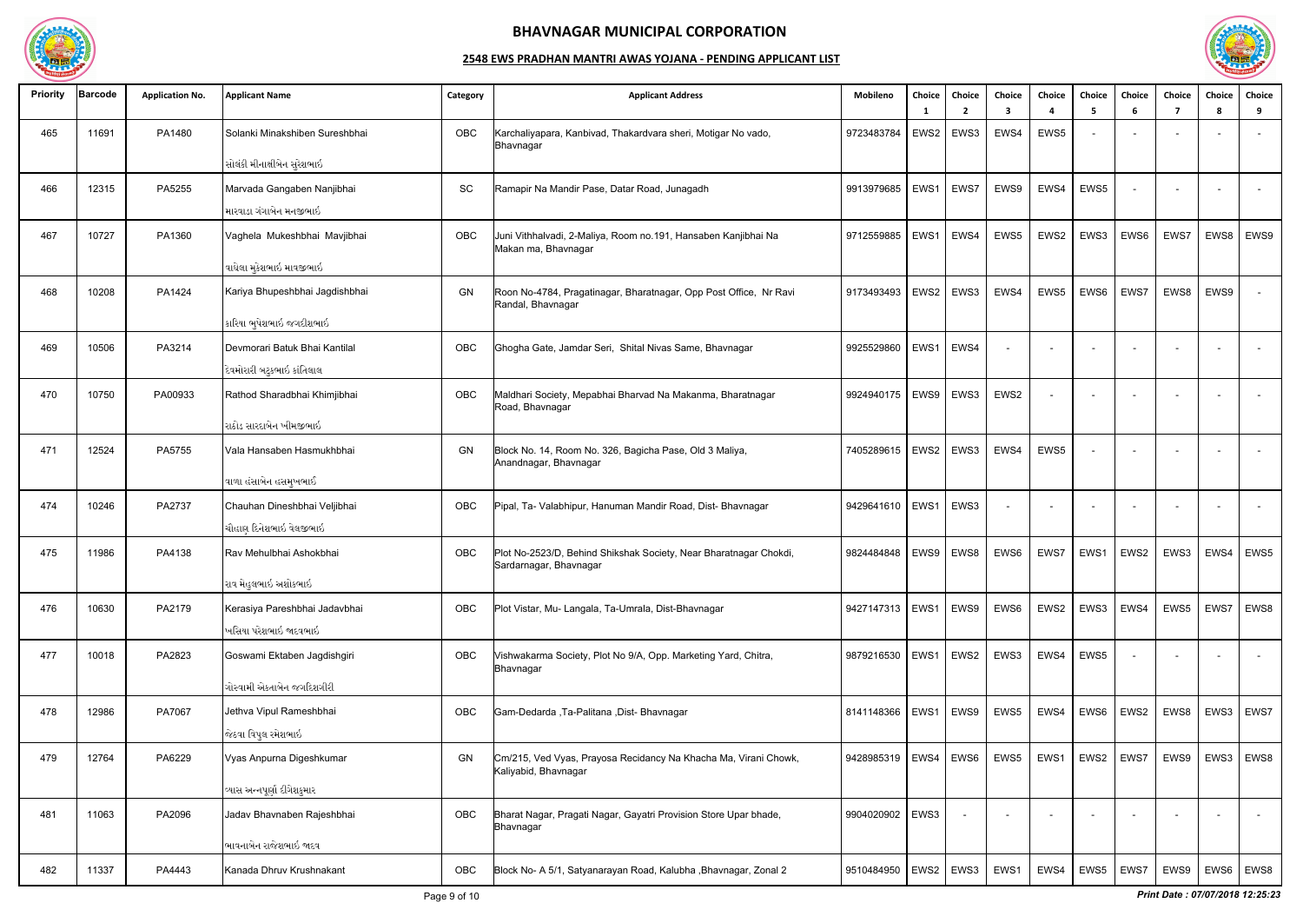

| <b>Priority</b> | <b>Barcode</b> | <b>Application No.</b> | <b>Applicant Name</b>          | Category | <b>Applicant Address</b>                                                                    | Mobileno          | Choice<br>- 1 | Choice<br>2      | Choice<br>3 | Choice<br>4              | Choice<br>- 5 | Choice<br>6 | Choice<br>-7 | Choice<br>Я. | Choice<br>9              |
|-----------------|----------------|------------------------|--------------------------------|----------|---------------------------------------------------------------------------------------------|-------------------|---------------|------------------|-------------|--------------------------|---------------|-------------|--------------|--------------|--------------------------|
| 465             | 11691          | PA1480                 | Solanki Minakshiben Sureshbhai | OBC      | Karchaliyapara, Kanbivad, Thakardvara sheri, Motigar No vado,<br>Bhavnagar                  | 9723483784        | EWS2          | EWS3             | EWS4        | EWS5                     |               |             |              |              |                          |
|                 |                |                        | સોલંકી મીનાક્ષીબેન સુરેશભાઇ    |          |                                                                                             |                   |               |                  |             |                          |               |             |              |              |                          |
| 466             | 12315          | PA5255                 | Marvada Gangaben Nanjibhai     | SC       | Ramapir Na Mandir Pase, Datar Road, Junagadh                                                | 9913979685        | EWS1          | EWS7             | EWS9        | EWS4                     | EWS5          |             |              |              | $\sim$                   |
|                 |                |                        | મારવાડા ગંગાબેન મનજીભાઇ        |          |                                                                                             |                   |               |                  |             |                          |               |             |              |              |                          |
| 467             | 10727          | PA1360                 | Vaghela Mukeshbhai Mavjibhai   | OBC      | Juni Vithhalvadi, 2-Maliya, Room no.191, Hansaben Kanjibhai Na<br>Makan ma, Bhavnagar       | 9712559885        | EWS1          | EWS4             | EWS5        | EWS2                     | EWS3          | EWS6        | EWS7         | EWS8         | EWS9                     |
|                 |                |                        | વાઘેલા મુકેશભાઇ માવજીભાઇ       |          |                                                                                             |                   |               |                  |             |                          |               |             |              |              |                          |
| 468             | 10208          | PA1424                 | Kariya Bhupeshbhai Jagdishbhai | GN       | Roon No-4784, Pragatinagar, Bharatnagar, Opp Post Office, Nr Ravi<br>Randal, Bhavnagar      | 9173493493        |               | EWS2   EWS3      | EWS4        | EWS5                     | EWS6          | EWS7        | EWS8         | EWS9         |                          |
|                 |                |                        | કારિયા ભુપેશભાઇ જગદીશભાઇ       |          |                                                                                             |                   |               |                  |             |                          |               |             |              |              |                          |
| 469             | 10506          | PA3214                 | Devmorari Batuk Bhai Kantilal  | OBC      | Ghogha Gate, Jamdar Seri, Shital Nivas Same, Bhavnagar                                      | 9925529860        | EWS1          | EWS4             |             |                          |               |             |              |              |                          |
|                 |                |                        | દેવમોરારી બટુકભાઇ કાંતિલાલ     |          |                                                                                             |                   |               |                  |             |                          |               |             |              |              |                          |
| 470             | 10750          | PA00933                | Rathod Sharadbhai Khimjibhai   | OBC      | Maldhari Society, Mepabhai Bharvad Na Makanma, Bharatnagar<br>Road, Bhavnagar               | 9924940175        | EWS9          | EWS3             | EWS2        |                          | $\sim$        |             |              |              |                          |
|                 |                |                        | રાઠોડ સારદાબેન ખીમજીભાઇ        |          |                                                                                             |                   |               |                  |             |                          |               |             |              |              |                          |
| 471             | 12524          | PA5755                 | Vala Hansaben Hasmukhbhai      | GN       | Block No. 14, Room No. 326, Bagicha Pase, Old 3 Maliya,<br>Anandnagar, Bhavnagar            | 7405289615        |               | EWS2   EWS3      | EWS4        | EWS5                     |               |             |              |              |                          |
|                 |                |                        | વાળા હંસાબેન હસમુખભાઈ          |          |                                                                                             |                   |               |                  |             |                          |               |             |              |              |                          |
| 474             | 10246          | PA2737                 | Chauhan Dineshbhai Veljibhai   | OBC      | Pipal, Ta- Valabhipur, Hanuman Mandir Road, Dist- Bhavnagar                                 | 9429641610        | EWS1          | EWS3             |             | $\overline{\phantom{a}}$ | $\sim$        |             |              |              | $\overline{\phantom{a}}$ |
|                 |                |                        | ચૌહાણ દિનેશભાઇ વેલજીભાઇ        |          |                                                                                             |                   |               |                  |             |                          |               |             |              |              |                          |
| 475             | 11986          | PA4138                 | Rav Mehulbhai Ashokbhai        | OBC      | Plot No-2523/D, Behind Shikshak Society, Near Bharatnagar Chokdi,<br>Sardarnagar, Bhavnagar | 9824484848        | EWS9          | EWS8             | EWS6        | EWS7                     | EWS1          | EWS2        | EWS3         | EWS4         | EWS5                     |
|                 |                |                        | રાવ મેહુલભાઇ અશોકભાઇ           |          |                                                                                             |                   |               |                  |             |                          |               |             |              |              |                          |
| 476             | 10630          | PA2179                 | Kerasiya Pareshbhai Jadavbhai  | OBC      | Plot Vistar, Mu- Langala, Ta-Umrala, Dist-Bhavnagar                                         | 9427147313   EWS1 |               | $\vert$ EWS9     | EWS6        | EWS2                     | EWS3          | EWS4        | EWS5         | EWS7         | EWS8                     |
|                 |                |                        | ખસિયા પરેશભાઇ જાદવભાઇ          |          |                                                                                             |                   |               |                  |             |                          |               |             |              |              |                          |
| 477             | 10018          | PA2823                 | Goswami Ektaben Jagdishgiri    | OBC      | Vishwakarma Society, Plot No 9/A, Opp. Marketing Yard, Chitra,<br>Bhavnagar                 | 9879216530        | EWS1          | EWS <sub>2</sub> | EWS3        | EWS4                     | EWS5          |             |              |              | $\overline{\phantom{a}}$ |
|                 |                |                        | ગોસ્વામી એકતાબેન જગદિશગીરી     |          |                                                                                             |                   |               |                  |             |                          |               |             |              |              |                          |
| 478             | 12986          | PA7067                 | Jethva Vipul Rameshbhai        | OBC      | Gam-Dedarda , Ta-Palitana , Dist- Bhavnagar                                                 | 8141148366        | EWS1          | EWS9             | EWS5        | EWS4                     | EWS6          | EWS2        | EWS8         | EWS3         | EWS7                     |
|                 |                |                        | જેઠવા વિપુલ રમેશભાઇ            |          |                                                                                             |                   |               |                  |             |                          |               |             |              |              |                          |
| 479             | 12764          | PA6229                 | Vyas Anpurna Digeshkumar       | GN       | Cm/215, Ved Vyas, Prayosa Recidancy Na Khacha Ma, Virani Chowk,<br>Kaliyabid, Bhavnagar     | 9428985319   EWS4 |               | EWS <sub>6</sub> | EWS5        | EWS1                     | EWS2          | EWS7        | EWS9         | EWS3         | EWS8                     |
|                 |                |                        | વ્યાસ અન્નપૂર્ણા દીગેશકુમાર    |          |                                                                                             |                   |               |                  |             |                          |               |             |              |              |                          |
| 481             | 11063          | PA2096                 | Jadav Bhavnaben Rajeshbhai     | OBC      | Bharat Nagar, Pragati Nagar, Gayatri Provision Store Upar bhade,<br>Bhavnagar               | 9904020902        | EWS3          |                  |             | $\sim$                   |               |             |              |              | $\overline{\phantom{a}}$ |
|                 |                |                        | ભાવનાબેન રાજેશભાઇ જાદવ         |          |                                                                                             |                   |               |                  |             |                          |               |             |              |              |                          |
| 482             | 11337          | PA4443                 | Kanada Dhruv Krushnakant       | OBC      | Block No- A 5/1, Satyanarayan Road, Kalubha , Bhavnagar, Zonal 2                            | 9510484950        |               | EWS2   EWS3      | EWS1        | EWS4                     | EWS5          | EWS7        | EWS9         |              | EWS6   EWS8              |